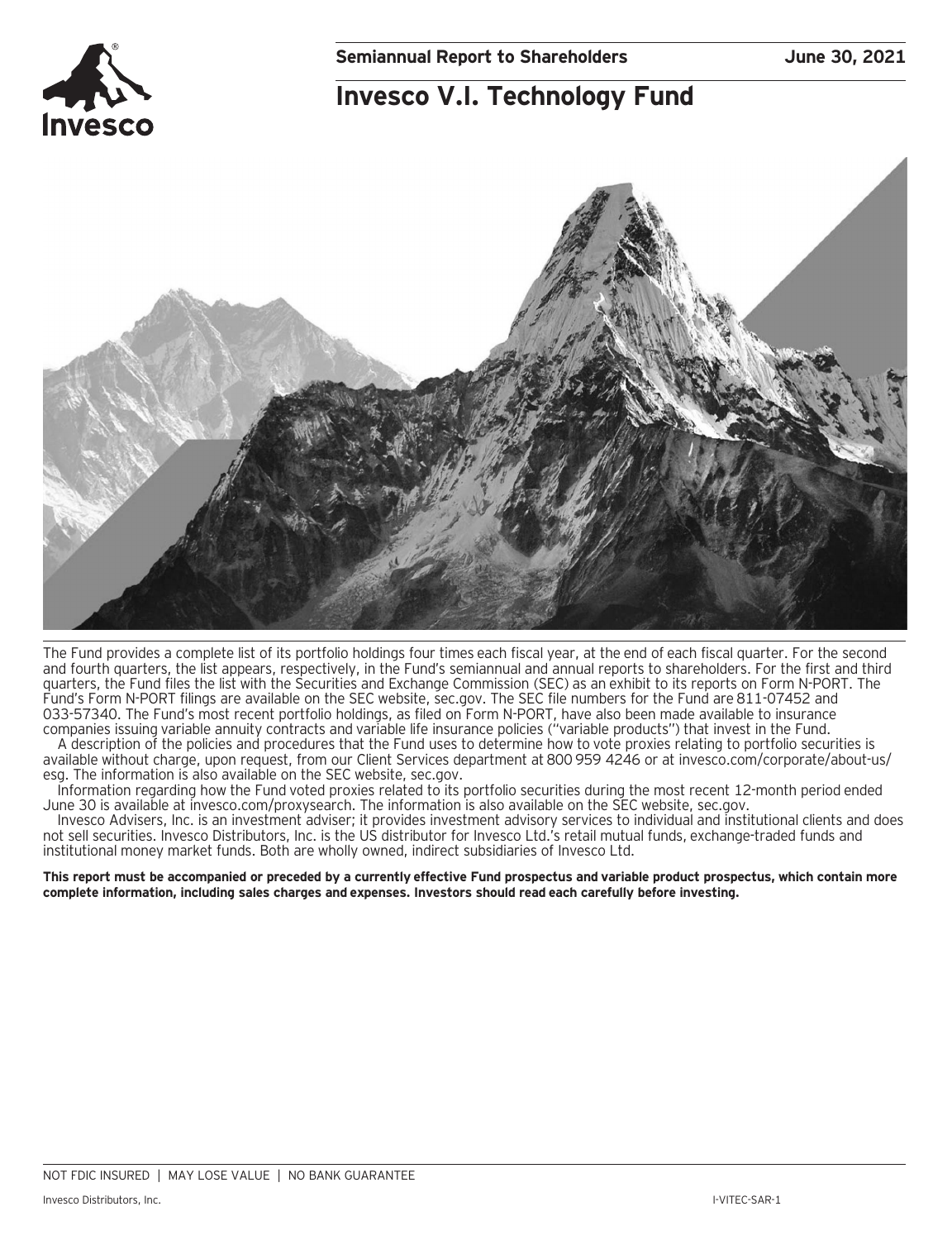### **Invesco V.I. Technology Fund**



The Fund provides a complete list of its portfolio holdings four times each fiscal year, at the end of each fiscal quarter. For the second and fourth quarters, the list appears, respectively, in the Fund's semiannual and annual reports to shareholders. For the first and third quarters, the Fund files the list with the Securities and Exchange Commission (SEC) as an exhibit to its reports on Form N-PORT. The Fund's Form N-PORT filings are available on the SEC website, sec.gov. The SEC file numbers for the Fund are 811-07452 and 033-57340. The Fund's most recent portfolio holdings, as filed on Form N-PORT, have also been made available to insurance companies issuing variable annuity contracts and variable life insurance policies ("variable products") that invest in the Fund.

A description of the policies and procedures that the Fund uses to determine how to vote proxies relating to portfolio securities is available without charge, upon request, from our Client Services department at 800 959 4246 or at invesco.com/corporate/about-us/ esg. The information is also available on the SEC website, sec.gov.

Information regarding how the Fund voted proxies related to its portfolio securities during the most recent 12-month period ended June 30 is available at invesco.com/proxysearch. The information is also available on the SEC website, sec.gov.

Invesco Advisers, Inc. is an investment adviser; it provides investment advisory services to individual and institutional clients and does not sell securities. Invesco Distributors, Inc. is the US distributor for Invesco Ltd.'s retail mutual funds, exchange-traded funds and institutional money market funds. Both are wholly owned, indirect subsidiaries of Invesco Ltd.

**This report must be accompanied or preceded by a currently effective Fund prospectus and variable product prospectus, which contain more complete information, including sales charges and expenses. Investors should read each carefully before investing.**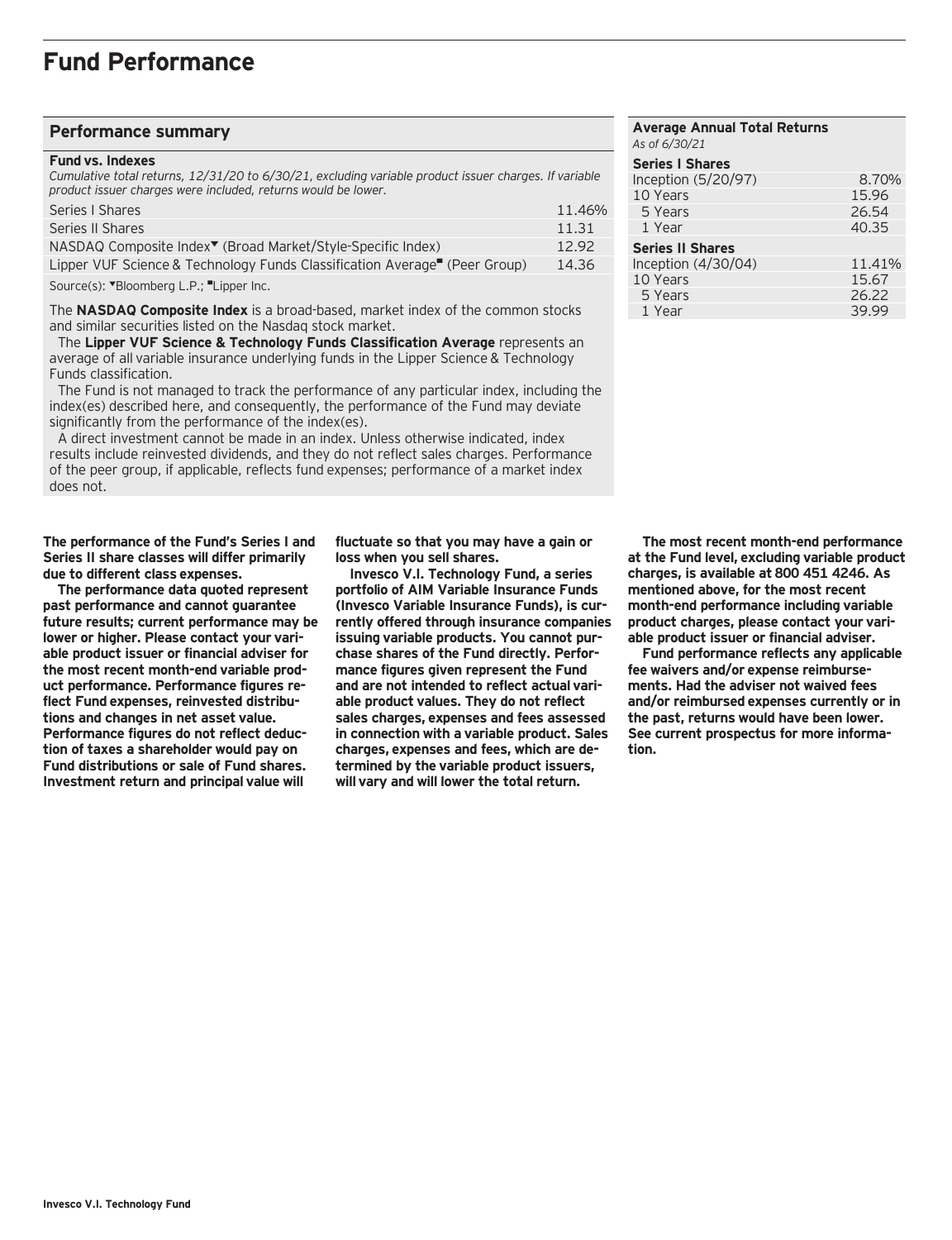#### **Performance summary**

#### **Fund vs. Indexes**

*Cumulative total returns, 12/31/20 to 6/30/21, excluding variable product issuer charges. If variable product issuer charges were included, returns would be lower.*

| Series I Shares                                                             | 11.46% |
|-----------------------------------------------------------------------------|--------|
| Series II Shares                                                            | 11.31  |
| NASDAQ Composite Index <sup>▼</sup> (Broad Market/Style-Specific Index)     | 12.92  |
| Lipper VUF Science & Technology Funds Classification Average'' (Peer Group) | 14.36  |

Source(s): "Bloomberg L.P.; "Lipper Inc.

The **NASDAQ Composite Index** is a broad-based, market index of the common stocks and similar securities listed on the Nasdaq stock market.

 The **Lipper VUF Science & Technology Funds Classification Average** represents an average of all variable insurance underlying funds in the Lipper Science & Technology Funds classification.

 The Fund is not managed to track the performance of any particular index, including the index(es) described here, and consequently, the performance of the Fund may deviate significantly from the performance of the index(es).

 A direct investment cannot be made in an index. Unless otherwise indicated, index results include reinvested dividends, and they do not reflect sales charges. Performance of the peer group, if applicable, reflects fund expenses; performance of a market index does not.

**The performance of the Fund's Series I and Series II share classes will differ primarily due to different class expenses.**

**The performance data quoted represent past performance and cannot guarantee future results; current performance may be lower or higher. Please contact your variable product issuer or financial adviser for the most recent month-end variable product performance. Performance figures reflect Fund expenses, reinvested distributions and changes in net asset value. Performance figures do not reflect deduction of taxes a shareholder would pay on Fund distributions or sale of Fund shares. Investment return and principal value will**

**fluctuate so that you may have a gain or loss when you sell shares.**

**Invesco V.I. Technology Fund, a series portfolio of AIM Variable Insurance Funds (Invesco Variable Insurance Funds), is currently offered through insurance companies issuing variable products. You cannot purchase shares of the Fund directly. Performance figures given represent the Fund and are not intended to reflect actual variable product values. They do not reflect sales charges, expenses and fees assessed in connection with a variable product. Sales charges, expenses and fees, which are determined by the variable product issuers, will vary and will lower the total return.**

#### **Average Annual Total Returns** *As of 6/30/21* **Series I Shares**  Inception (5/20/97) 8.70%<br>10 Years 15.96 10 Years 15.96<br>5 Years 26.54 5 Years 1 Year 40.35 **Series II Shares**  Inception (4/30/04) 11.41%<br>10 Years 15.67 10 Years 15.67<br>15.67<br>26.22 26.22 5 Years 26.22<br>1 Year 2005 29.99 1 Year

**The most recent month-end performance at the Fund level, excluding variable product charges, is available at 800 451 4246. As mentioned above, for the most recent month-end performance including variable product charges, please contact your variable product issuer or financial adviser.**

**Fund performance reflects any applicable fee waivers and/or expense reimbursements. Had the adviser not waived fees and/or reimbursed expenses currently or in the past, returns would have been lower. See current prospectus for more information.**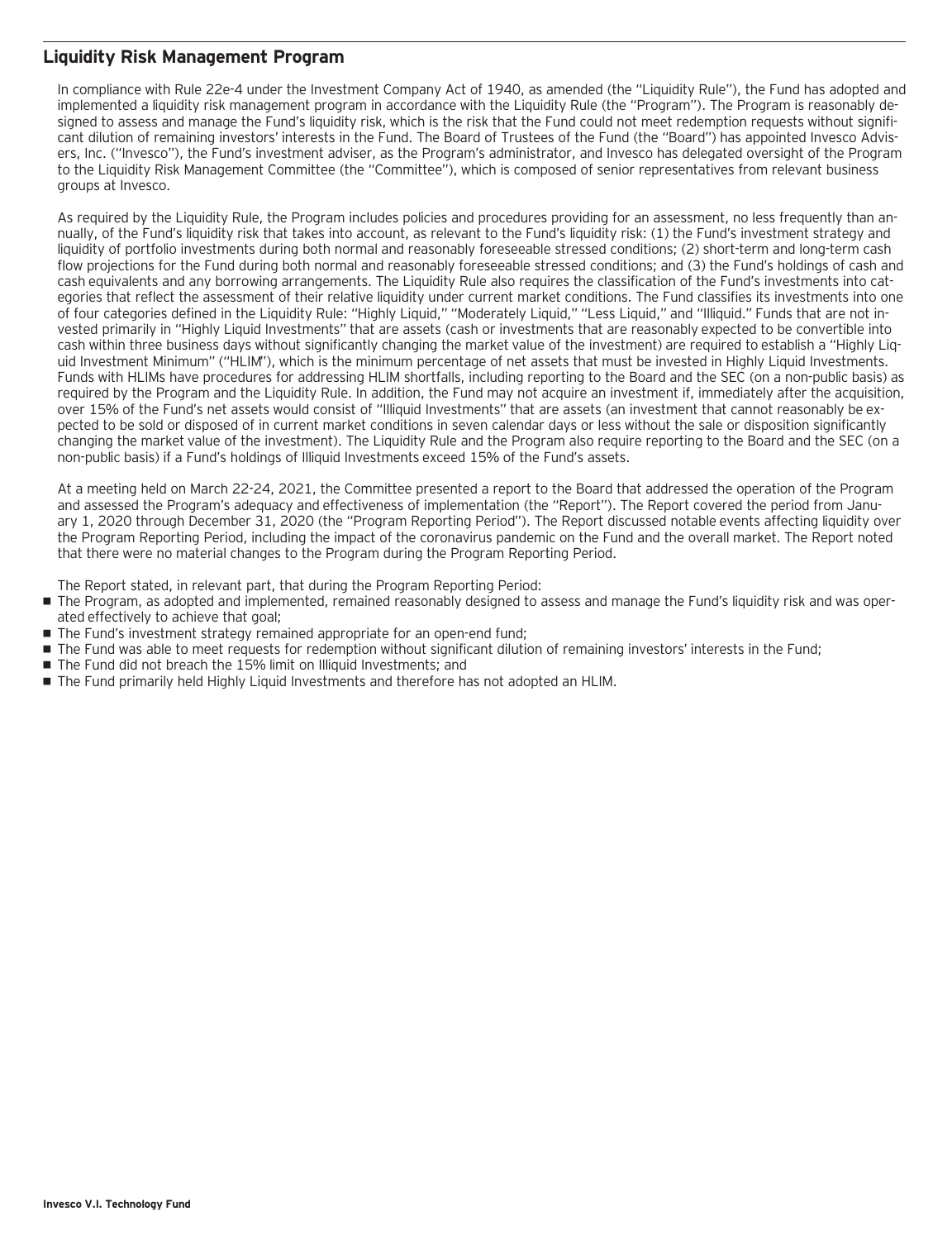#### **Liquidity Risk Management Program**

In compliance with Rule 22e-4 under the Investment Company Act of 1940, as amended (the "Liquidity Rule"), the Fund has adopted and implemented a liquidity risk management program in accordance with the Liquidity Rule (the "Program"). The Program is reasonably designed to assess and manage the Fund's liquidity risk, which is the risk that the Fund could not meet redemption requests without significant dilution of remaining investors' interests in the Fund. The Board of Trustees of the Fund (the "Board") has appointed Invesco Advisers, Inc. ("Invesco"), the Fund's investment adviser, as the Program's administrator, and Invesco has delegated oversight of the Program to the Liquidity Risk Management Committee (the "Committee"), which is composed of senior representatives from relevant business groups at Invesco.

As required by the Liquidity Rule, the Program includes policies and procedures providing for an assessment, no less frequently than annually, of the Fund's liquidity risk that takes into account, as relevant to the Fund's liquidity risk: (1) the Fund's investment strategy and liquidity of portfolio investments during both normal and reasonably foreseeable stressed conditions; (2) short-term and long-term cash flow projections for the Fund during both normal and reasonably foreseeable stressed conditions; and (3) the Fund's holdings of cash and cash equivalents and any borrowing arrangements. The Liquidity Rule also requires the classification of the Fund's investments into categories that reflect the assessment of their relative liquidity under current market conditions. The Fund classifies its investments into one of four categories defined in the Liquidity Rule: "Highly Liquid," "Moderately Liquid," "Less Liquid," and "Illiquid." Funds that are not invested primarily in "Highly Liquid Investments" that are assets (cash or investments that are reasonably expected to be convertible into cash within three business days without significantly changing the market value of the investment) are required to establish a "Highly Liquid Investment Minimum" ("HLIM"), which is the minimum percentage of net assets that must be invested in Highly Liquid Investments. Funds with HLIMs have procedures for addressing HLIM shortfalls, including reporting to the Board and the SEC (on a non-public basis) as required by the Program and the Liquidity Rule. In addition, the Fund may not acquire an investment if, immediately after the acquisition, over 15% of the Fund's net assets would consist of "Illiquid Investments" that are assets (an investment that cannot reasonably be expected to be sold or disposed of in current market conditions in seven calendar days or less without the sale or disposition significantly changing the market value of the investment). The Liquidity Rule and the Program also require reporting to the Board and the SEC (on a non-public basis) if a Fund's holdings of Illiquid Investments exceed 15% of the Fund's assets.

At a meeting held on March 22-24, 2021, the Committee presented a report to the Board that addressed the operation of the Program and assessed the Program's adequacy and effectiveness of implementation (the "Report"). The Report covered the period from January 1, 2020 through December 31, 2020 (the "Program Reporting Period"). The Report discussed notable events affecting liquidity over the Program Reporting Period, including the impact of the coronavirus pandemic on the Fund and the overall market. The Report noted that there were no material changes to the Program during the Program Reporting Period.

The Report stated, in relevant part, that during the Program Reporting Period:

- The Program, as adopted and implemented, remained reasonably designed to assess and manage the Fund's liquidity risk and was operated effectively to achieve that goal;
- The Fund's investment strategy remained appropriate for an open-end fund;
- The Fund was able to meet requests for redemption without significant dilution of remaining investors' interests in the Fund;
- The Fund did not breach the 15% limit on Illiquid Investments: and
- The Fund primarily held Highly Liquid Investments and therefore has not adopted an HLIM.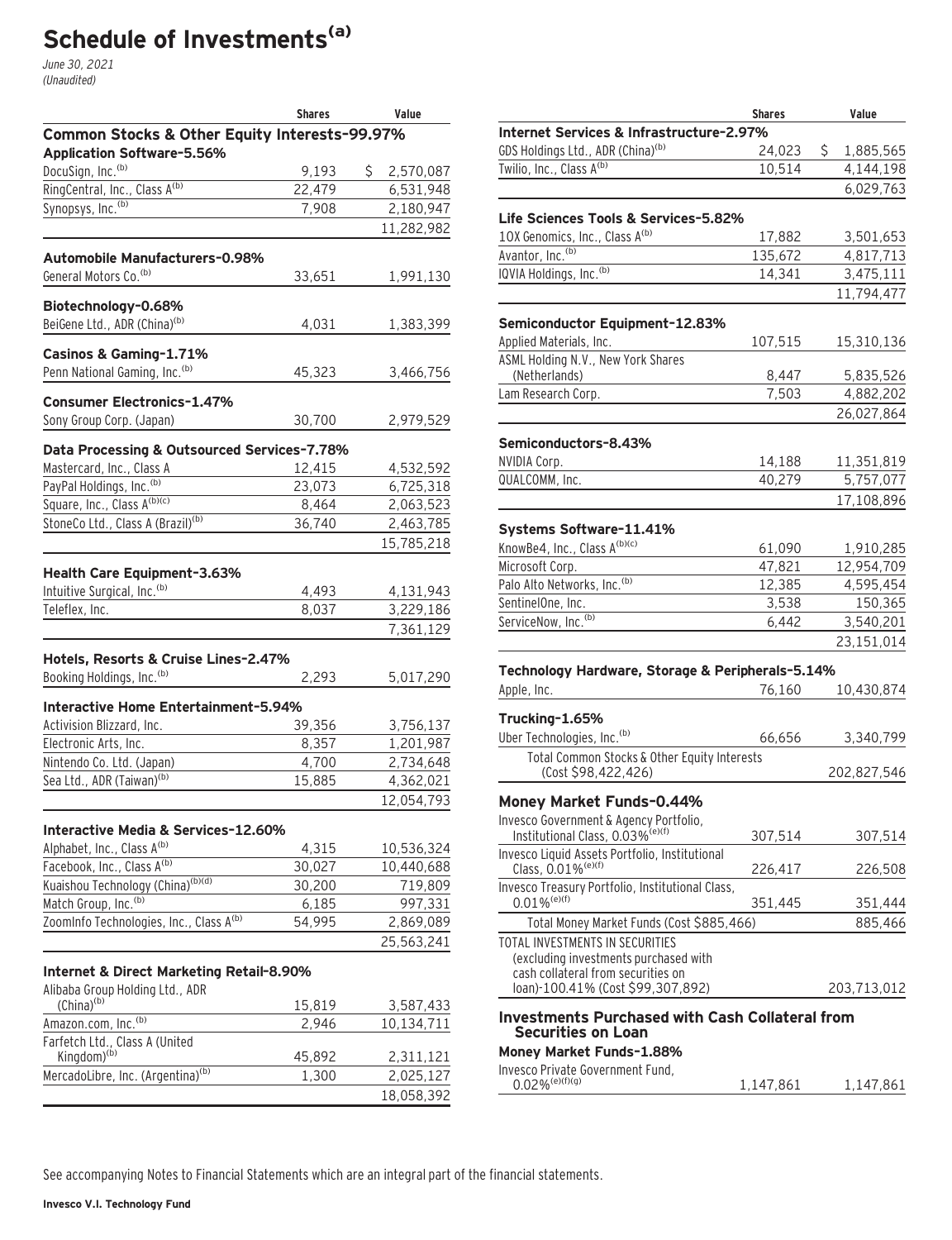# **Schedule of Investments(a)**

June 30, 2021 (Unaudited)

|                                                           | <b>Shares</b> | Value       |
|-----------------------------------------------------------|---------------|-------------|
| Common Stocks & Other Equity Interests-99.97%             |               |             |
| <b>Application Software-5.56%</b>                         |               |             |
| DocuSign, Inc. <sup>(b)</sup>                             | 9,193         | \$2,570,087 |
| RingCentral, Inc., Class A(b)                             | 22,479        | 6,531,948   |
| Synopsys, Inc. <sup>(b)</sup>                             | 7,908         | 2,180,947   |
|                                                           |               | 11,282,982  |
| Automobile Manufacturers-0.98%                            |               |             |
| General Motors Co. (b)                                    | 33,651        | 1,991,130   |
| Biotechnology-0.68%                                       |               |             |
| BeiGene Ltd., ADR (China) <sup>(b)</sup>                  | 4,031         | 1,383,399   |
| Casinos & Gaming-1.71%                                    |               |             |
| Penn National Gaming, Inc. <sup>(b)</sup>                 | 45,323        | 3,466,756   |
|                                                           |               |             |
| <b>Consumer Electronics-1.47%</b>                         |               |             |
| Sony Group Corp. (Japan)                                  | 30,700        | 2,979,529   |
| Data Processing & Outsourced Services-7.78%               |               |             |
| Mastercard, Inc., Class A                                 | 12,415        | 4,532,592   |
| PayPal Holdings, Inc. (b)                                 | 23,073        | 6,725,318   |
| Square, Inc., Class A <sup>(b)(c)</sup>                   | 8,464         | 2,063,523   |
| StoneCo Ltd., Class A (Brazil) <sup>(b)</sup>             | 36,740        | 2,463,785   |
|                                                           |               | 15,785,218  |
| Health Care Equipment-3.63%                               |               |             |
| Intuitive Surgical, Inc. (b)                              | 4,493         | 4,131,943   |
| Teleflex, Inc.                                            | 8,037         | 3,229,186   |
|                                                           |               | 7,361,129   |
| Hotels, Resorts & Cruise Lines-2.47%                      |               |             |
| Booking Holdings, Inc. (b)                                | 2,293         | 5,017,290   |
|                                                           |               |             |
| Interactive Home Entertainment-5.94%                      |               |             |
| Activision Blizzard, Inc.                                 | 39,356        | 3,756,137   |
| Electronic Arts, Inc.                                     | 8,357         | 1,201,987   |
| Nintendo Co. Ltd. (Japan)                                 | 4,700         | 2,734,648   |
| Sea Ltd., ADR (Taiwan) <sup>(b)</sup>                     | 15,885        | 4,362,021   |
|                                                           |               | 12,054,793  |
| Interactive Media & Services-12.60%                       |               |             |
| Alphabet, Inc., Class A(b)                                | 4,315         | 10,536,324  |
| Facebook, Inc., Class A <sup>(b)</sup>                    | 30,027        | 10,440,688  |
| Kuaishou Technology (China) <sup>(b)(d)</sup>             | 30,200        | 719,809     |
| Match Group, Inc. <sup>(b)</sup>                          | 6,185         | 997,331     |
| ZoomInfo Technologies, Inc., Class A <sup>(b)</sup>       | 54,995        | 2,869,089   |
|                                                           |               | 25,563,241  |
| Internet & Direct Marketing Retail-8.90%                  |               |             |
| Alibaba Group Holding Ltd., ADR                           |               |             |
| (China) <sup>(b)</sup>                                    | 15,819        | 3,587,433   |
| Amazon.com, Inc. <sup>(b)</sup>                           | 2,946         | 10,134,711  |
| Farfetch Ltd., Class A (United<br>Kingdom) <sup>(b)</sup> |               |             |
|                                                           | 45,892        | 2,311,121   |
| MercadoLibre, Inc. (Argentina) <sup>(b)</sup>             | 1,300         | 2,025,127   |
|                                                           |               | 18,058,392  |
|                                                           |               |             |

|                                                                                     | <b>Shares</b>     | Value           |
|-------------------------------------------------------------------------------------|-------------------|-----------------|
| Internet Services & Infrastructure-2.97%                                            |                   |                 |
| GDS Holdings Ltd., ADR (China) <sup>(b)</sup>                                       | 24,023            | \$<br>1,885,565 |
| Twilio, Inc., Class A <sup>(b)</sup>                                                | 10,514            | 4,144,198       |
|                                                                                     |                   | 6,029,763       |
|                                                                                     |                   |                 |
| Life Sciences Tools & Services-5.82%                                                |                   |                 |
| 10X Genomics, Inc., Class A(b)                                                      | 17,882            | 3,501,653       |
| Avantor, Inc. <sup>(b)</sup><br>IQVIA Holdings, Inc. <sup>(b)</sup>                 | 135,672<br>14,341 | 4,817,713       |
|                                                                                     |                   | 3,475,111       |
|                                                                                     |                   | 11,794,477      |
| Semiconductor Equipment-12.83%                                                      |                   |                 |
| Applied Materials, Inc.                                                             | 107,515           | 15,310,136      |
| ASML Holding N.V., New York Shares                                                  |                   |                 |
| (Netherlands)                                                                       | 8,447             | 5,835,526       |
| Lam Research Corp.                                                                  | 7,503             | 4,882,202       |
|                                                                                     |                   | 26,027,864      |
| Semiconductors-8.43%                                                                |                   |                 |
| NVIDIA Corp.                                                                        | 14,188            | 11,351,819      |
| QUALCOMM, Inc.                                                                      | 40,279            | 5,757,077       |
|                                                                                     |                   | 17,108,896      |
|                                                                                     |                   |                 |
| Systems Software-11.41%                                                             |                   |                 |
| KnowBe4, Inc., Class A(b)(c)                                                        | 61,090            | 1,910,285       |
| Microsoft Corp.                                                                     | 47,821            | 12,954,709      |
| Palo Alto Networks, Inc. <sup>(b)</sup>                                             | 12,385            | 4,595,454       |
| SentinelOne, Inc.                                                                   | 3,538             | 150,365         |
| ServiceNow, Inc. <sup>(b)</sup>                                                     | 6,442             | 3,540,201       |
|                                                                                     |                   | 23,151,014      |
| Technology Hardware, Storage & Peripherals-5.14%                                    |                   |                 |
| Apple, Inc.                                                                         | 76,160            | 10,430,874      |
|                                                                                     |                   |                 |
| Trucking-1.65%                                                                      |                   |                 |
| Uber Technologies, Inc. (b)                                                         | 66,656            | 3,340,799       |
| Total Common Stocks & Other Equity Interests                                        |                   |                 |
| (Cost \$98,422,426)                                                                 |                   | 202,827,546     |
| Money Market Funds-0.44%                                                            |                   |                 |
| Invesco Government & Agency Portfolio                                               |                   |                 |
| Institutional Class, 0.03% <sup>(e)(f)</sup>                                        | 307,514           | 307,514         |
| Invesco Liquid Assets Portfolio, Institutional                                      |                   |                 |
| Class, 0.01% <sup>(e)(f)</sup>                                                      | 226,417           | 226,508         |
| Invesco Treasury Portfolio, Institutional Class,<br>$0.01\%$ <sup>(e)(f)</sup>      | 351,445           | 351,444         |
|                                                                                     |                   |                 |
| Total Money Market Funds (Cost \$885,466)<br>TOTAL INVESTMENTS IN SECURITIES        |                   | 885,466         |
| (excluding investments purchased with                                               |                   |                 |
| cash collateral from securities on                                                  |                   |                 |
| loan)-100.41% (Cost \$99,307,892)                                                   |                   | 203,713,012     |
|                                                                                     |                   |                 |
| <b>Investments Purchased with Cash Collateral from</b><br><b>Securities on Loan</b> |                   |                 |
| Money Market Funds-1.88%                                                            |                   |                 |
| Invesco Private Government Fund,                                                    |                   |                 |
| $0.02\%$ <sup>(e)(f)(g)</sup>                                                       | 1,147,861         | 1,147,861       |
|                                                                                     |                   |                 |

See accompanying Notes to Financial Statements which are an integral part of the financial statements.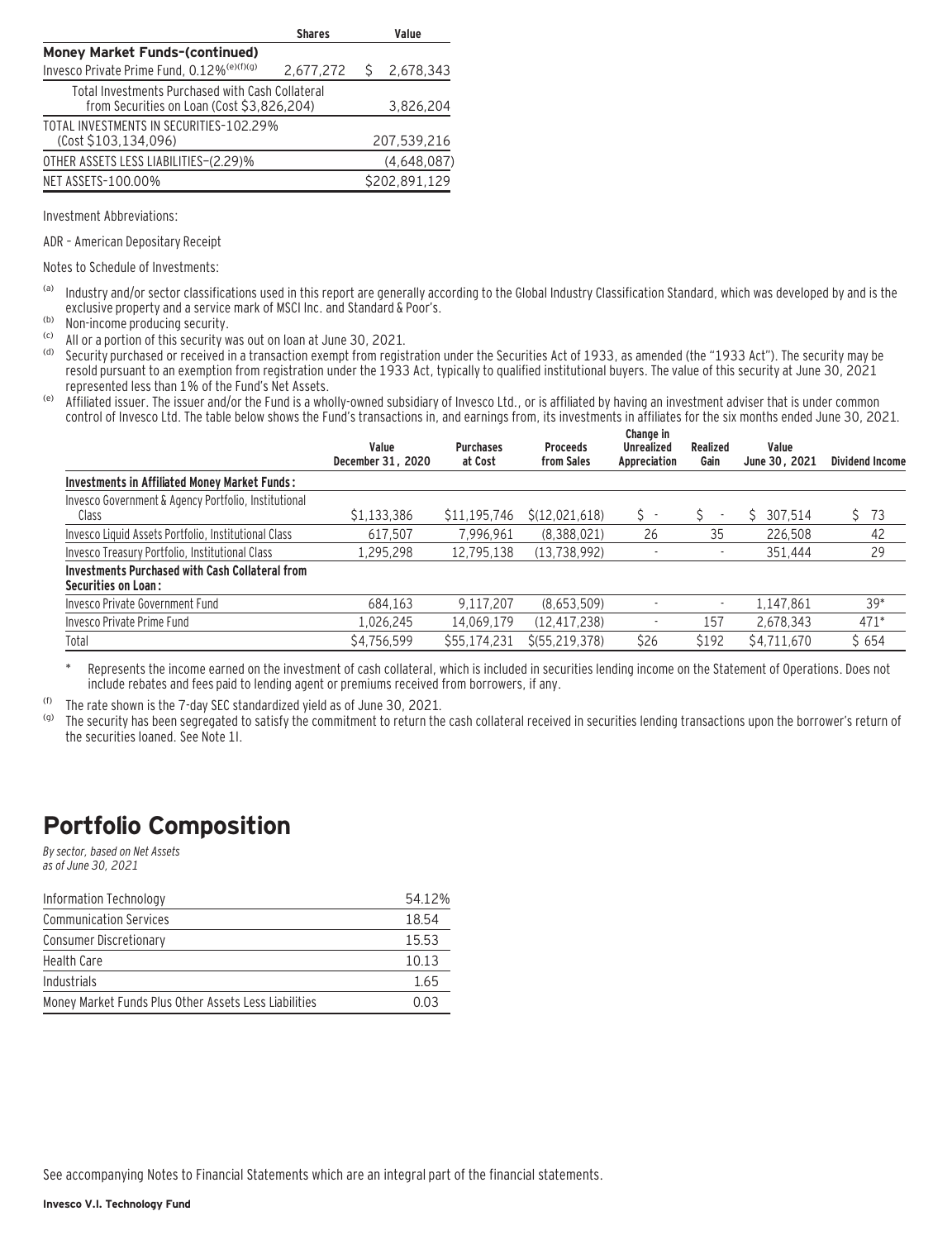|                                                                                                | <b>Shares</b> | Value         |
|------------------------------------------------------------------------------------------------|---------------|---------------|
| <b>Money Market Funds-(continued)</b>                                                          |               |               |
| Invesco Private Prime Fund, 0.12% <sup>(e)(f)(g)</sup>                                         | 2,677,272     | 2,678,343     |
| Total Investments Purchased with Cash Collateral<br>from Securities on Loan (Cost \$3,826,204) | 3,826,204     |               |
| TOTAL INVESTMENTS IN SECURITIES-102.29%<br>(Cost \$103,134,096)                                |               | 207,539,216   |
| OTHER ASSETS LESS LIABILITIES-(2.29)%                                                          |               | (4,648,087)   |
| NET ASSETS-100.00%                                                                             |               | \$202,891,129 |

Investment Abbreviations:

ADR – American Depositary Receipt

Notes to Schedule of Investments:

- (a) Industry and/or sector classifications used in this report are generally according to the Global Industry Classification Standard, which was developed by and is the exclusive property and a service mark of MSCI Inc. and Standard & Poor's.
- (b) Non-income producing security.
- (c) All or a portion of this security was out on loan at June 30, 2021.
- Security purchased or received in a transaction exempt from registration under the Securities Act of 1933, as amended (the "1933 Act"). The security may be resold pursuant to an exemption from registration under the 1933 Act, typically to qualified institutional buyers. The value of this security at June 30, 2021 represented less than 1% of the Fund's Net Assets.
- (e) Affiliated issuer. The issuer and/or the Fund is a wholly-owned subsidiary of Invesco Ltd., or is affiliated by having an investment adviser that is under common control of Invesco Ltd. The table below shows the Fund's transactions in, and earnings from, its investments in affiliates for the six months ended June 30, 2021.

|                                                                                      | Value<br>December 31, 2020 | <b>Purchases</b><br>at Cost | <b>Proceeds</b><br>from Sales | Change in<br><b>Unrealized</b><br>Appreciation | Realized<br>Gain         | Value<br>June 30, 2021 | <b>Dividend Income</b> |
|--------------------------------------------------------------------------------------|----------------------------|-----------------------------|-------------------------------|------------------------------------------------|--------------------------|------------------------|------------------------|
| Investments in Affiliated Money Market Funds:                                        |                            |                             |                               |                                                |                          |                        |                        |
| Invesco Government & Agency Portfolio, Institutional                                 |                            |                             |                               |                                                |                          |                        |                        |
| Class                                                                                | \$1,133,386                | \$11,195,746                | \$(12,021,618)                | $S -$                                          | $\overline{\phantom{a}}$ | 307.514                | 73<br>Ŝ.               |
| Invesco Liquid Assets Portfolio, Institutional Class                                 | 617.507                    | 7.996.961                   | (8.388.021)                   | 26                                             | 35                       | 226.508                | 42                     |
| Invesco Treasury Portfolio, Institutional Class                                      | 1,295,298                  | 12,795,138                  | (13.738.992)                  | $\overline{\phantom{a}}$                       | $\overline{\phantom{a}}$ | 351.444                | 29                     |
| <b>Investments Purchased with Cash Collateral from</b><br><b>Securities on Loan:</b> |                            |                             |                               |                                                |                          |                        |                        |
| Invesco Private Government Fund                                                      | 684.163                    | 9.117.207                   | (8,653,509)                   |                                                | $\overline{\phantom{a}}$ | 1,147,861              | $39*$                  |
| Invesco Private Prime Fund                                                           | 1,026,245                  | 14,069,179                  | (12, 417, 238)                |                                                | 157                      | 2,678,343              | $471*$                 |
| Total                                                                                | \$4,756,599                | \$55,174,231                | $$$ (55,219,378)              | \$26                                           | \$192                    | \$4,711,670            | \$654                  |

Represents the income earned on the investment of cash collateral, which is included in securities lending income on the Statement of Operations. Does not include rebates and fees paid to lending agent or premiums received from borrowers, if any.

(f) The rate shown is the 7-day SEC standardized yield as of June 30, 2021.

The security has been segregated to satisfy the commitment to return the cash collateral received in securities lending transactions upon the borrower's return of the securities loaned. See Note 1I.

### **Portfolio Composition**

By sector, based on Net Assets as of June 30, 2021

| Information Technology                                | 54.12% |
|-------------------------------------------------------|--------|
| <b>Communication Services</b>                         | 18.54  |
| <b>Consumer Discretionary</b>                         | 15.53  |
| Health Care                                           | 10.13  |
| Industrials                                           | 1.65   |
| Money Market Funds Plus Other Assets Less Liabilities | 0.03   |

See accompanying Notes to Financial Statements which are an integral part of the financial statements.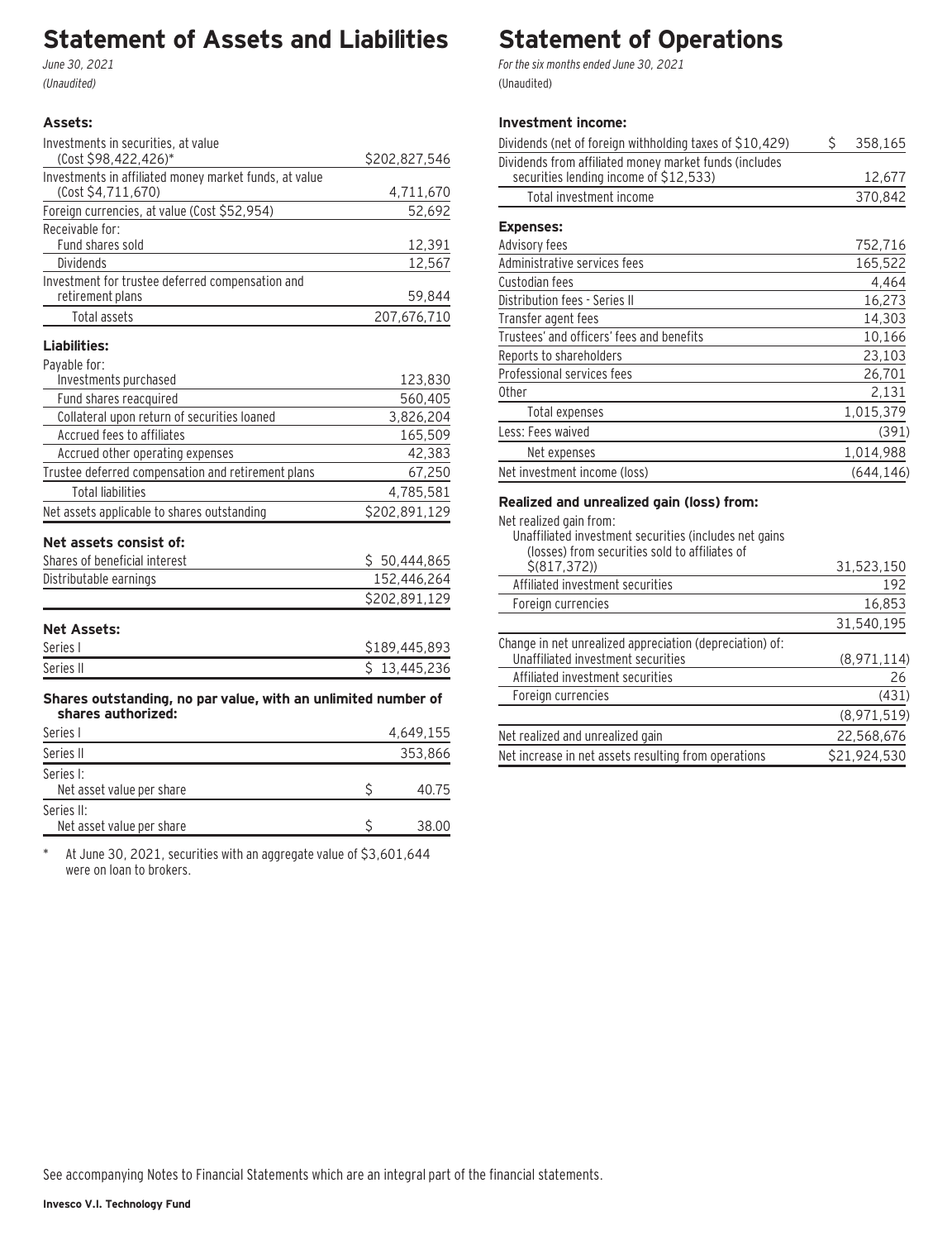### **Statement of Assets and Liabilities**

June 30, 2021 (Unaudited)

#### **Assets:**

| Investments in securities, at value                                                 |               |
|-------------------------------------------------------------------------------------|---------------|
| (Cost \$98,422,426)*                                                                | \$202,827,546 |
| Investments in affiliated money market funds, at value                              |               |
| (Cost \$4,711,670)                                                                  | 4,711,670     |
| Foreign currencies, at value (Cost \$52,954)                                        | 52,692        |
| Receivable for:                                                                     |               |
| Fund shares sold                                                                    | 12,391        |
| <b>Dividends</b>                                                                    | 12,567        |
| Investment for trustee deferred compensation and                                    |               |
| retirement plans                                                                    | 59,844        |
| Total assets                                                                        | 207,676,710   |
| Liabilities:                                                                        |               |
| Payable for:                                                                        |               |
| Investments purchased                                                               | 123,830       |
| Fund shares reacquired                                                              | 560,405       |
| Collateral upon return of securities loaned                                         | 3,826,204     |
| Accrued fees to affiliates                                                          | 165,509       |
| Accrued other operating expenses                                                    | 42,383        |
| Trustee deferred compensation and retirement plans                                  | 67,250        |
| <b>Total liabilities</b>                                                            | 4,785,581     |
| Net assets applicable to shares outstanding                                         | \$202,891,129 |
| Net assets consist of:                                                              |               |
| Shares of beneficial interest                                                       | \$50,444,865  |
| Distributable earnings                                                              | 152,446,264   |
|                                                                                     | \$202,891,129 |
| <b>Net Assets:</b>                                                                  |               |
| Series I                                                                            | \$189,445,893 |
| Series II                                                                           | \$13,445,236  |
|                                                                                     |               |
| Shares outstanding, no par value, with an unlimited number of<br>shares authorized: |               |
| Series I                                                                            | 4,649,155     |
| Series II                                                                           | 353,866       |

| Series I:                 |       |
|---------------------------|-------|
| Net asset value per share | 40 75 |
| Series II:                |       |
| Net asset value per share | 38.00 |

\* At June 30, 2021, securities with an aggregate value of \$3,601,644 were on loan to brokers.

# **Statement of Operations**

For the six months ended June 30, 2021 (Unaudited)

#### **Investment income:**

| Dividends (net of foreign withholding taxes of \$10,429)                                         | Ś | 358,165   |
|--------------------------------------------------------------------------------------------------|---|-----------|
| Dividends from affiliated money market funds (includes<br>securities lending income of \$12,533) |   | 12,677    |
| Total investment income                                                                          |   | 370,842   |
| <b>Expenses:</b>                                                                                 |   |           |
| Advisory fees                                                                                    |   | 752,716   |
| Administrative services fees                                                                     |   | 165,522   |
| Custodian fees                                                                                   |   | 4.464     |
| Distribution fees - Series II                                                                    |   | 16,273    |
| Transfer agent fees                                                                              |   | 14,303    |
| Trustees' and officers' fees and benefits                                                        |   | 10,166    |
| Reports to shareholders                                                                          |   | 23,103    |
| Professional services fees                                                                       |   | 26,701    |
| 0ther                                                                                            |   | 2,131     |
| Total expenses                                                                                   |   | 1,015,379 |
| Less: Fees waived                                                                                |   | (391)     |
| Net expenses                                                                                     |   | 1,014,988 |
| Net investment income (loss)                                                                     |   | (644.146) |

#### **Realized and unrealized gain (loss) from:**

| Net realized gain from:                                                                                  |              |
|----------------------------------------------------------------------------------------------------------|--------------|
| Unaffiliated investment securities (includes net gains<br>(losses) from securities sold to affiliates of |              |
| \$ (817, 372)                                                                                            | 31,523,150   |
| Affiliated investment securities                                                                         | 192          |
| Foreign currencies                                                                                       | 16,853       |
|                                                                                                          | 31,540,195   |
| Change in net unrealized appreciation (depreciation) of:                                                 |              |
| Unaffiliated investment securities                                                                       | (8,971,114)  |
| Affiliated investment securities                                                                         | 26           |
| Foreign currencies                                                                                       | (431)        |
|                                                                                                          | (8,971,519)  |
| Net realized and unrealized gain                                                                         | 22,568,676   |
| Net increase in net assets resulting from operations                                                     | \$21.924.530 |
|                                                                                                          |              |

See accompanying Notes to Financial Statements which are an integral part of the financial statements.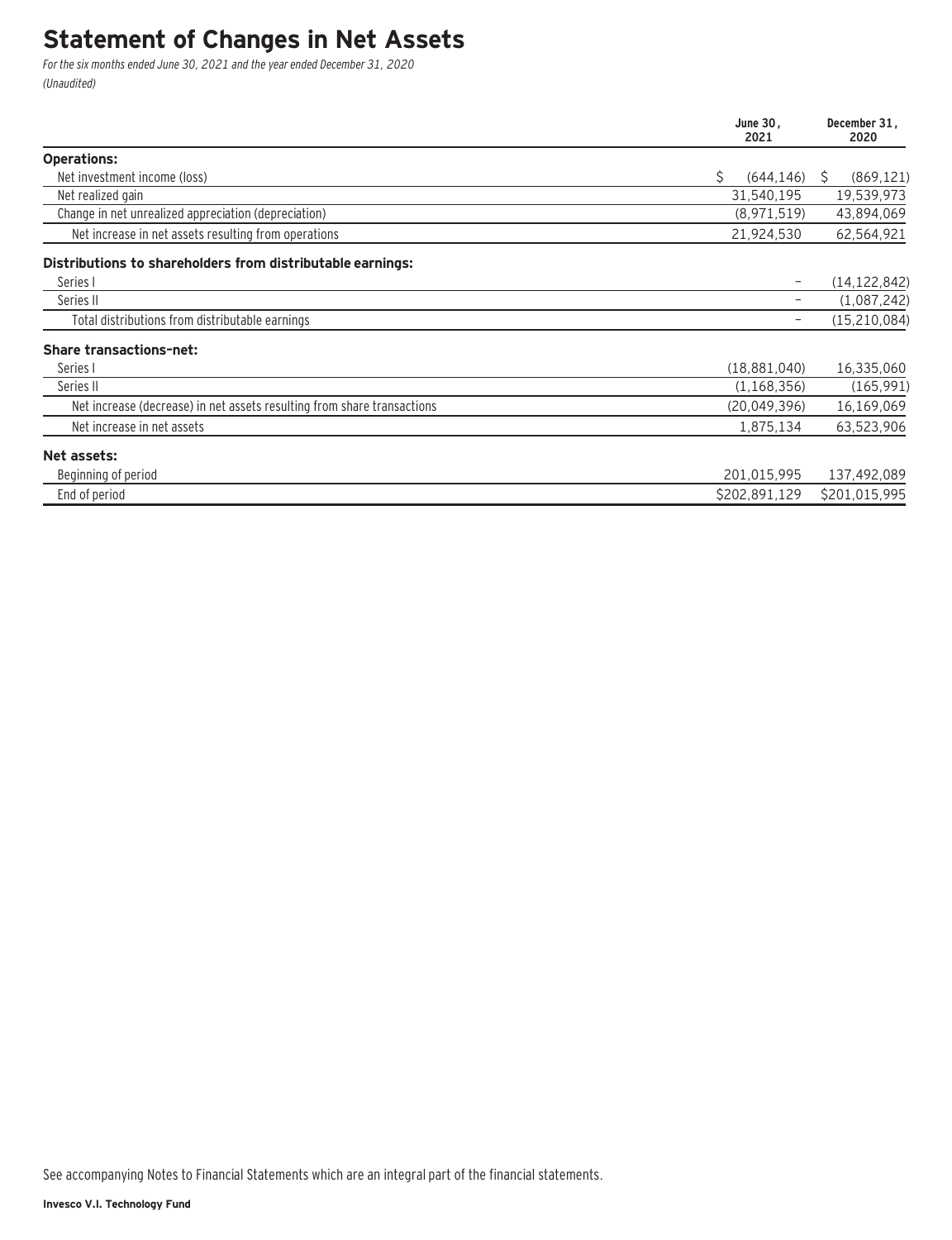### **Statement of Changes in Net Assets**

For the six months ended June 30, 2021 and the year ended December 31, 2020 (Unaudited)

|                                                                         | June 30,<br>2021 | December 31,<br>2020 |
|-------------------------------------------------------------------------|------------------|----------------------|
| <b>Operations:</b>                                                      |                  |                      |
| Net investment income (loss)                                            | \$<br>(644, 146) | (869, 121)<br>S      |
| Net realized gain                                                       | 31,540,195       | 19,539,973           |
| Change in net unrealized appreciation (depreciation)                    | (8,971,519)      | 43,894,069           |
| Net increase in net assets resulting from operations                    | 21,924,530       | 62,564,921           |
| Distributions to shareholders from distributable earnings:              |                  |                      |
| Series I                                                                |                  | (14, 122, 842)       |
| Series II                                                               |                  | (1,087,242)          |
| Total distributions from distributable earnings                         |                  | (15, 210, 084)       |
| <b>Share transactions-net:</b>                                          |                  |                      |
| Series I                                                                | (18,881,040)     | 16,335,060           |
| Series II                                                               | (1, 168, 356)    | (165, 991)           |
| Net increase (decrease) in net assets resulting from share transactions | (20,049,396)     | 16,169,069           |
| Net increase in net assets                                              | 1,875,134        | 63,523,906           |
| Net assets:                                                             |                  |                      |
| Beginning of period                                                     | 201,015,995      | 137,492,089          |
| End of period                                                           | \$202,891,129    | \$201,015,995        |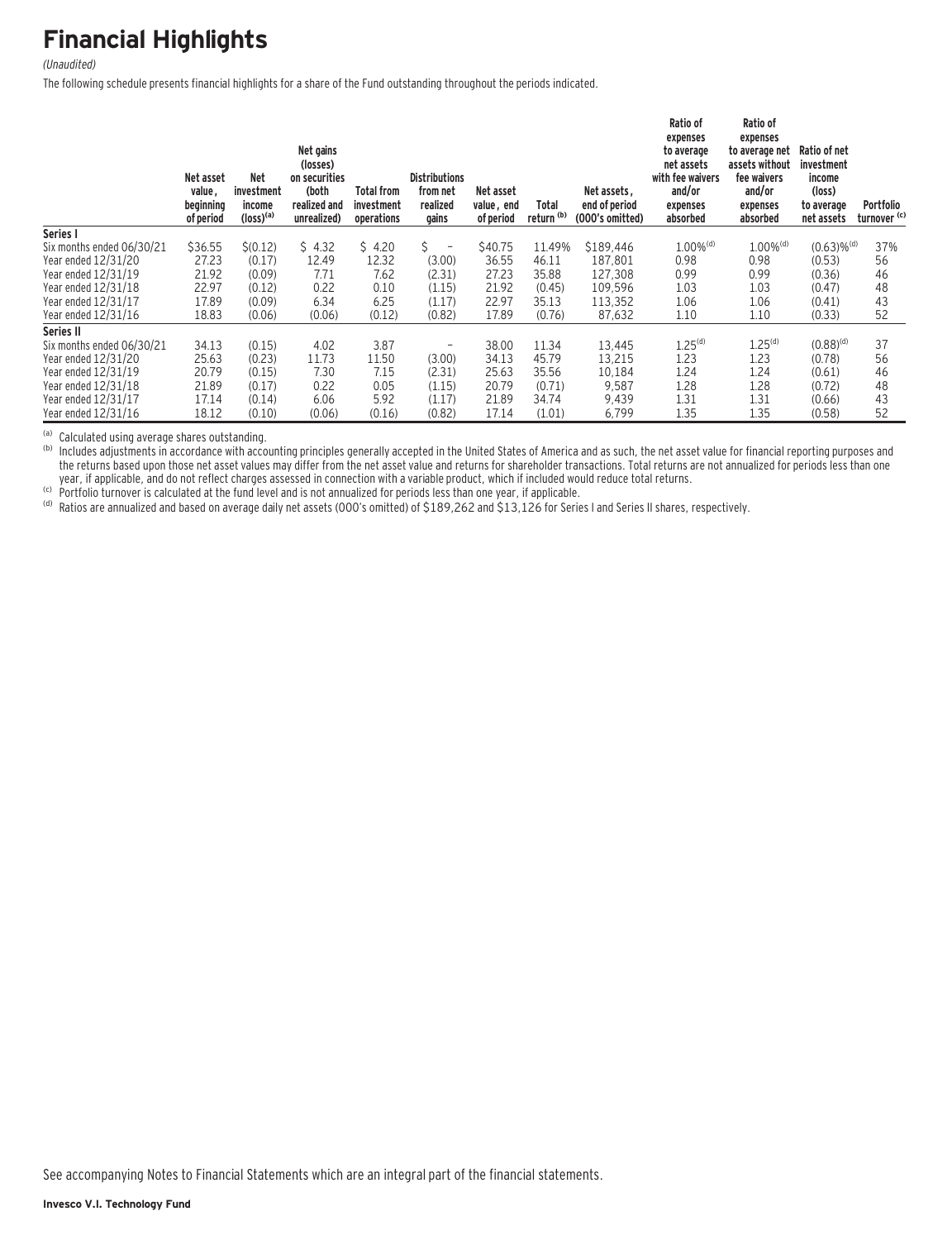## **Financial Highlights**

#### (Unaudited)

The following schedule presents financial highlights for a share of the Fund outstanding throughout the periods indicated.

|                           | Net asset<br>value,<br>beginning<br>of period | <b>Net</b><br>investment<br>income<br>$(logs)$ <sup>(a)</sup> | Net gains<br>(losses)<br>on securities<br>(both<br>realized and<br>unrealized) | <b>Total from</b><br>investment<br>operations | <b>Distributions</b><br>from net<br>realized<br>gains | Net asset<br>value, end<br>of period | Total<br>return <sup>(b)</sup> | Net assets,<br>end of period<br>(000's omitted) | Ratio of<br>expenses<br>to average<br>net assets<br>with fee waivers<br>and/or<br>expenses<br>absorbed | Ratio of<br>expenses<br>to average net<br>assets without<br>fee waivers<br>and/or<br>expenses<br>absorbed | Ratio of net<br>investment<br>income<br>(loss)<br>to average<br>net assets | <b>Portfolio</b><br>turnover <sup>(c)</sup> |
|---------------------------|-----------------------------------------------|---------------------------------------------------------------|--------------------------------------------------------------------------------|-----------------------------------------------|-------------------------------------------------------|--------------------------------------|--------------------------------|-------------------------------------------------|--------------------------------------------------------------------------------------------------------|-----------------------------------------------------------------------------------------------------------|----------------------------------------------------------------------------|---------------------------------------------|
| Series I                  |                                               |                                                               |                                                                                |                                               |                                                       |                                      |                                |                                                 |                                                                                                        |                                                                                                           |                                                                            |                                             |
| Six months ended 06/30/21 | \$36.55                                       | \$(0.12)                                                      | \$4.32                                                                         | \$4.20                                        | Ś.<br>$\overline{a}$                                  | \$40.75                              | 11.49%                         | \$189,446                                       | $1.00\%$ <sup>(d)</sup>                                                                                | $1.00\%$ <sup>(d)</sup>                                                                                   | $(0.63)$ % <sup>(d)</sup>                                                  | 37%                                         |
| Year ended 12/31/20       | 27.23                                         | (0.17)                                                        | 12.49                                                                          | 12.32                                         | (3.00)                                                | 36.55                                | 46.11                          | 187,801                                         | 0.98                                                                                                   | 0.98                                                                                                      | (0.53)                                                                     | 56                                          |
| Year ended 12/31/19       | 21.92                                         | (0.09)                                                        | 7.71                                                                           | 7.62                                          | (2.31)                                                | 27.23                                | 35.88                          | 127.308                                         | 0.99                                                                                                   | 0.99                                                                                                      | (0.36)                                                                     | 46                                          |
| Year ended 12/31/18       | 22.97                                         | (0.12)                                                        | 0.22                                                                           | 0.10                                          | (1.15)                                                | 21.92                                | (0.45)                         | 109,596                                         | 1.03                                                                                                   | 1.03                                                                                                      | (0.47)                                                                     | 48                                          |
| Year ended 12/31/17       | 17.89                                         | (0.09)                                                        | 6.34                                                                           | 6.25                                          | (1.17)                                                | 22.97                                | 35.13                          | 113,352                                         | 1.06                                                                                                   | 1.06                                                                                                      | (0.41)                                                                     | 43                                          |
| Year ended 12/31/16       | 18.83                                         | (0.06)                                                        | (0.06)                                                                         | (0.12)                                        | (0.82)                                                | 17.89                                | (0.76)                         | 87,632                                          | 1.10                                                                                                   | 1.10                                                                                                      | (0.33)                                                                     | 52                                          |
| Series II                 |                                               |                                                               |                                                                                |                                               |                                                       |                                      |                                |                                                 |                                                                                                        |                                                                                                           |                                                                            |                                             |
| Six months ended 06/30/21 | 34.13                                         | (0.15)                                                        | 4.02                                                                           | 3.87                                          | -                                                     | 38.00                                | 11.34                          | 13,445                                          | 1.25 <sup>(d)</sup>                                                                                    | 1.25 <sup>(d)</sup>                                                                                       | $(0.88)^{(d)}$                                                             | 37                                          |
| Year ended 12/31/20       | 25.63                                         | (0.23)                                                        | 11.73                                                                          | 11.50                                         | (3.00)                                                | 34.13                                | 45.79                          | 13.215                                          | 1.23                                                                                                   | 1.23                                                                                                      | (0.78)                                                                     | 56                                          |
| Year ended 12/31/19       | 20.79                                         | (0.15)                                                        | 7.30                                                                           | 7.15                                          | (2.31)                                                | 25.63                                | 35.56                          | 10,184                                          | 1.24                                                                                                   | 1.24                                                                                                      | (0.61)                                                                     | 46                                          |
| Year ended 12/31/18       | 21.89                                         | (0.17)                                                        | 0.22                                                                           | 0.05                                          | (1.15)                                                | 20.79                                | (0.71)                         | 9,587                                           | 1.28                                                                                                   | 1.28                                                                                                      | (0.72)                                                                     | 48                                          |
| Year ended 12/31/17       | 17.14                                         | (0.14)                                                        | 6.06                                                                           | 5.92                                          | (1.17)                                                | 21.89                                | 34.74                          | 9,439                                           | 1.31                                                                                                   | 1.31                                                                                                      | (0.66)                                                                     | 43                                          |
| Year ended 12/31/16       | 18.12                                         | (0.10)                                                        | (0.06)                                                                         | (0.16)                                        | (0.82)                                                | 17.14                                | (1.01)                         | 6,799                                           | 1.35                                                                                                   | 1.35                                                                                                      | (0.58)                                                                     | 52                                          |

(a) Calculated using average shares outstanding.<br>(b) Includes adjustments in accordance with accounting principles generally accepted in the United States of America and as such, the net asset value for financial reporting the returns based upon those net asset values may differ from the net asset value and returns for shareholder transactions. Total returns are not annualized for periods less than one year, if applicable, and do not reflect

(c) Portfolio turnover is calculated at the fund level and is not annualized for periods less than one year, if applicable.<br>(d) Ratios are annualized and based on average daily net assets (OOO's omitted) of \$189,262 and \$1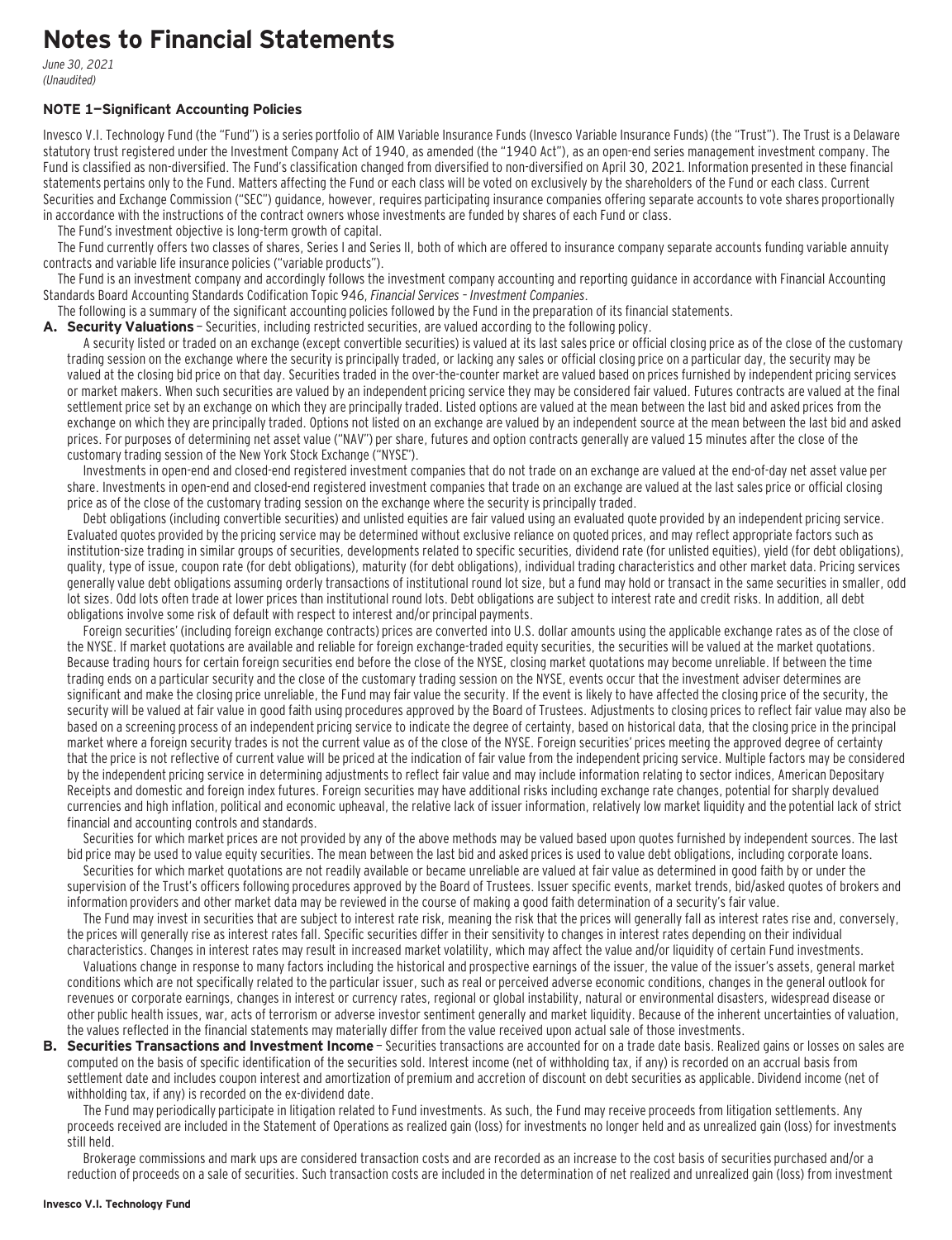### **Notes to Financial Statements**

June 30, 2021 (Unaudited)

#### **NOTE 1—Significant Accounting Policies**

Invesco V.I. Technology Fund (the "Fund") is a series portfolio of AIM Variable Insurance Funds (Invesco Variable Insurance Funds) (the "Trust"). The Trust is a Delaware statutory trust registered under the Investment Company Act of 1940, as amended (the "1940 Act"), as an open-end series management investment company. The Fund is classified as non-diversified. The Fund's classification changed from diversified to non-diversified on April 30, 2021. Information presented in these financial statements pertains only to the Fund. Matters affecting the Fund or each class will be voted on exclusively by the shareholders of the Fund or each class. Current Securities and Exchange Commission ("SEC") guidance, however, requires participating insurance companies offering separate accounts to vote shares proportionally in accordance with the instructions of the contract owners whose investments are funded by shares of each Fund or class.

The Fund's investment objective is long-term growth of capital.

The Fund currently offers two classes of shares, Series I and Series II, both of which are offered to insurance company separate accounts funding variable annuity contracts and variable life insurance policies ("variable products").

The Fund is an investment company and accordingly follows the investment company accounting and reporting guidance in accordance with Financial Accounting Standards Board Accounting Standards Codification Topic 946, Financial Services – Investment Companies.

The following is a summary of the significant accounting policies followed by the Fund in the preparation of its financial statements.

**A. Security Valuations** — Securities, including restricted securities, are valued according to the following policy.

A security listed or traded on an exchange (except convertible securities) is valued at its last sales price or official closing price as of the close of the customary trading session on the exchange where the security is principally traded, or lacking any sales or official closing price on a particular day, the security may be valued at the closing bid price on that day. Securities traded in the over-the-counter market are valued based on prices furnished by independent pricing services or market makers. When such securities are valued by an independent pricing service they may be considered fair valued. Futures contracts are valued at the final settlement price set by an exchange on which they are principally traded. Listed options are valued at the mean between the last bid and asked prices from the exchange on which they are principally traded. Options not listed on an exchange are valued by an independent source at the mean between the last bid and asked prices. For purposes of determining net asset value ("NAV") per share, futures and option contracts generally are valued 15 minutes after the close of the customary trading session of the New York Stock Exchange ("NYSE").

Investments in open-end and closed-end registered investment companies that do not trade on an exchange are valued at the end-of-day net asset value per share. Investments in open-end and closed-end registered investment companies that trade on an exchange are valued at the last sales price or official closing price as of the close of the customary trading session on the exchange where the security is principally traded.

Debt obligations (including convertible securities) and unlisted equities are fair valued using an evaluated quote provided by an independent pricing service. Evaluated quotes provided by the pricing service may be determined without exclusive reliance on quoted prices, and may reflect appropriate factors such as institution-size trading in similar groups of securities, developments related to specific securities, dividend rate (for unlisted equities), yield (for debt obligations), quality, type of issue, coupon rate (for debt obligations), maturity (for debt obligations), individual trading characteristics and other market data. Pricing services generally value debt obligations assuming orderly transactions of institutional round lot size, but a fund may hold or transact in the same securities in smaller, odd lot sizes. Odd lots often trade at lower prices than institutional round lots. Debt obligations are subject to interest rate and credit risks. In addition, all debt obligations involve some risk of default with respect to interest and/or principal payments.

Foreign securities' (including foreign exchange contracts) prices are converted into U.S. dollar amounts using the applicable exchange rates as of the close of the NYSE. If market quotations are available and reliable for foreign exchange-traded equity securities, the securities will be valued at the market quotations. Because trading hours for certain foreign securities end before the close of the NYSE, closing market quotations may become unreliable. If between the time trading ends on a particular security and the close of the customary trading session on the NYSE, events occur that the investment adviser determines are significant and make the closing price unreliable, the Fund may fair value the security. If the event is likely to have affected the closing price of the security, the security will be valued at fair value in good faith using procedures approved by the Board of Trustees. Adjustments to closing prices to reflect fair value may also be based on a screening process of an independent pricing service to indicate the degree of certainty, based on historical data, that the closing price in the principal market where a foreign security trades is not the current value as of the close of the NYSE. Foreign securities' prices meeting the approved degree of certainty that the price is not reflective of current value will be priced at the indication of fair value from the independent pricing service. Multiple factors may be considered by the independent pricing service in determining adjustments to reflect fair value and may include information relating to sector indices, American Depositary Receipts and domestic and foreign index futures. Foreign securities may have additional risks including exchange rate changes, potential for sharply devalued currencies and high inflation, political and economic upheaval, the relative lack of issuer information, relatively low market liquidity and the potential lack of strict financial and accounting controls and standards.

Securities for which market prices are not provided by any of the above methods may be valued based upon quotes furnished by independent sources. The last bid price may be used to value equity securities. The mean between the last bid and asked prices is used to value debt obligations, including corporate loans.

Securities for which market quotations are not readily available or became unreliable are valued at fair value as determined in good faith by or under the supervision of the Trust's officers following procedures approved by the Board of Trustees. Issuer specific events, market trends, bid/asked quotes of brokers and information providers and other market data may be reviewed in the course of making a good faith determination of a security's fair value.

The Fund may invest in securities that are subject to interest rate risk, meaning the risk that the prices will generally fall as interest rates rise and, conversely, the prices will generally rise as interest rates fall. Specific securities differ in their sensitivity to changes in interest rates depending on their individual characteristics. Changes in interest rates may result in increased market volatility, which may affect the value and/or liquidity of certain Fund investments.

Valuations change in response to many factors including the historical and prospective earnings of the issuer, the value of the issuer's assets, general market conditions which are not specifically related to the particular issuer, such as real or perceived adverse economic conditions, changes in the general outlook for revenues or corporate earnings, changes in interest or currency rates, regional or global instability, natural or environmental disasters, widespread disease or other public health issues, war, acts of terrorism or adverse investor sentiment generally and market liquidity. Because of the inherent uncertainties of valuation, the values reflected in the financial statements may materially differ from the value received upon actual sale of those investments.

**B. Securities Transactions and Investment Income** - Securities transactions are accounted for on a trade date basis. Realized gains or losses on sales are computed on the basis of specific identification of the securities sold. Interest income (net of withholding tax, if any) is recorded on an accrual basis from settlement date and includes coupon interest and amortization of premium and accretion of discount on debt securities as applicable. Dividend income (net of withholding tax, if any) is recorded on the ex-dividend date.

The Fund may periodically participate in litigation related to Fund investments. As such, the Fund may receive proceeds from litigation settlements. Any proceeds received are included in the Statement of Operations as realized gain (loss) for investments no longer held and as unrealized gain (loss) for investments still held.

Brokerage commissions and mark ups are considered transaction costs and are recorded as an increase to the cost basis of securities purchased and/or a reduction of proceeds on a sale of securities. Such transaction costs are included in the determination of net realized and unrealized gain (loss) from investment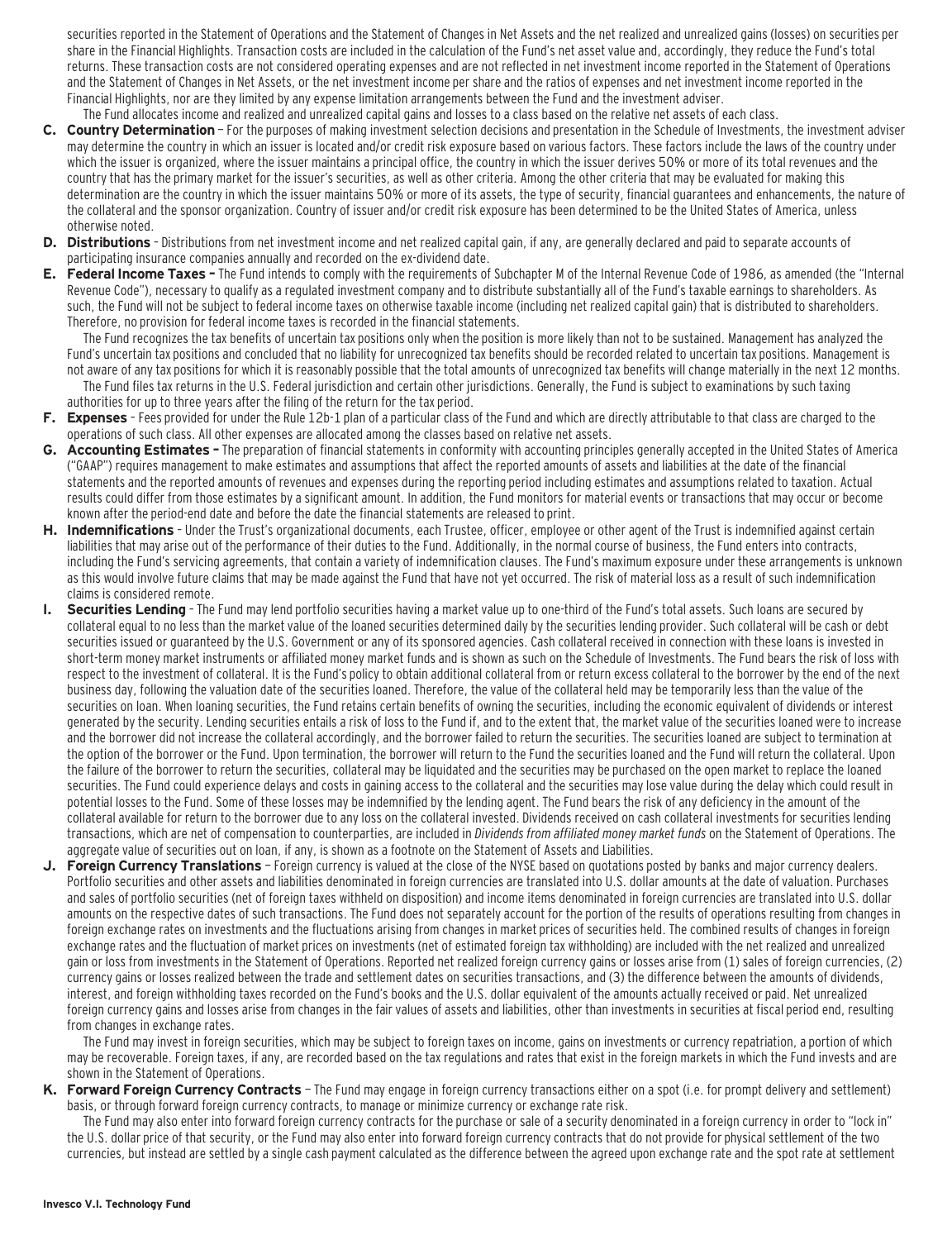securities reported in the Statement of Operations and the Statement of Changes in Net Assets and the net realized and unrealized gains (losses) on securities per share in the Financial Highlights. Transaction costs are included in the calculation of the Fund's net asset value and, accordingly, they reduce the Fund's total returns. These transaction costs are not considered operating expenses and are not reflected in net investment income reported in the Statement of Operations and the Statement of Changes in Net Assets, or the net investment income per share and the ratios of expenses and net investment income reported in the Financial Highlights, nor are they limited by any expense limitation arrangements between the Fund and the investment adviser. The Fund allocates income and realized and unrealized capital gains and losses to a class based on the relative net assets of each class.

- **C. Country Determination**  For the purposes of making investment selection decisions and presentation in the Schedule of Investments, the investment adviser may determine the country in which an issuer is located and/or credit risk exposure based on various factors. These factors include the laws of the country under which the issuer is organized, where the issuer maintains a principal office, the country in which the issuer derives 50% or more of its total revenues and the country that has the primary market for the issuer's securities, as well as other criteria. Among the other criteria that may be evaluated for making this determination are the country in which the issuer maintains 50% or more of its assets, the type of security, financial guarantees and enhancements, the nature of the collateral and the sponsor organization. Country of issuer and/or credit risk exposure has been determined to be the United States of America, unless otherwise noted.
- **D. Distributions**  Distributions from net investment income and net realized capital gain, if any, are generally declared and paid to separate accounts of participating insurance companies annually and recorded on the ex-dividend date.
- **E. Federal Income Taxes** The Fund intends to comply with the requirements of Subchapter M of the Internal Revenue Code of 1986, as amended (the "Internal Revenue Code"), necessary to qualify as a regulated investment company and to distribute substantially all of the Fund's taxable earnings to shareholders. As such, the Fund will not be subject to federal income taxes on otherwise taxable income (including net realized capital gain) that is distributed to shareholders. Therefore, no provision for federal income taxes is recorded in the financial statements.

The Fund recognizes the tax benefits of uncertain tax positions only when the position is more likely than not to be sustained. Management has analyzed the Fund's uncertain tax positions and concluded that no liability for unrecognized tax benefits should be recorded related to uncertain tax positions. Management is not aware of any tax positions for which it is reasonably possible that the total amounts of unrecognized tax benefits will change materially in the next 12 months.

- The Fund files tax returns in the U.S. Federal jurisdiction and certain other jurisdictions. Generally, the Fund is subject to examinations by such taxing authorities for up to three years after the filing of the return for the tax period.
- **F. Expenses**  Fees provided for under the Rule 12b-1 plan of a particular class of the Fund and which are directly attributable to that class are charged to the operations of such class. All other expenses are allocated among the classes based on relative net assets.
- **G. Accounting Estimates** The preparation of financial statements in conformity with accounting principles generally accepted in the United States of America ("GAAP") requires management to make estimates and assumptions that affect the reported amounts of assets and liabilities at the date of the financial statements and the reported amounts of revenues and expenses during the reporting period including estimates and assumptions related to taxation. Actual results could differ from those estimates by a significant amount. In addition, the Fund monitors for material events or transactions that may occur or become known after the period-end date and before the date the financial statements are released to print.
- **H. Indemnifications**  Under the Trust's organizational documents, each Trustee, officer, employee or other agent of the Trust is indemnified against certain liabilities that may arise out of the performance of their duties to the Fund. Additionally, in the normal course of business, the Fund enters into contracts, including the Fund's servicing agreements, that contain a variety of indemnification clauses. The Fund's maximum exposure under these arrangements is unknown as this would involve future claims that may be made against the Fund that have not yet occurred. The risk of material loss as a result of such indemnification claims is considered remote.
- **I. Securities Lending**  The Fund may lend portfolio securities having a market value up to one-third of the Fund's total assets. Such loans are secured by collateral equal to no less than the market value of the loaned securities determined daily by the securities lending provider. Such collateral will be cash or debt securities issued or guaranteed by the U.S. Government or any of its sponsored agencies. Cash collateral received in connection with these loans is invested in short-term money market instruments or affiliated money market funds and is shown as such on the Schedule of Investments. The Fund bears the risk of loss with respect to the investment of collateral. It is the Fund's policy to obtain additional collateral from or return excess collateral to the borrower by the end of the next business day, following the valuation date of the securities loaned. Therefore, the value of the collateral held may be temporarily less than the value of the securities on loan. When loaning securities, the Fund retains certain benefits of owning the securities, including the economic equivalent of dividends or interest generated by the security. Lending securities entails a risk of loss to the Fund if, and to the extent that, the market value of the securities loaned were to increase and the borrower did not increase the collateral accordingly, and the borrower failed to return the securities. The securities loaned are subject to termination at the option of the borrower or the Fund. Upon termination, the borrower will return to the Fund the securities loaned and the Fund will return the collateral. Upon the failure of the borrower to return the securities, collateral may be liquidated and the securities may be purchased on the open market to replace the loaned securities. The Fund could experience delays and costs in gaining access to the collateral and the securities may lose value during the delay which could result in potential losses to the Fund. Some of these losses may be indemnified by the lending agent. The Fund bears the risk of any deficiency in the amount of the collateral available for return to the borrower due to any loss on the collateral invested. Dividends received on cash collateral investments for securities lending transactions, which are net of compensation to counterparties, are included in Dividends from affiliated money market funds on the Statement of Operations. The aggregate value of securities out on loan, if any, is shown as a footnote on the Statement of Assets and Liabilities.
- **J. Foreign Currency Translations**  Foreign currency is valued at the close of the NYSE based on quotations posted by banks and major currency dealers. Portfolio securities and other assets and liabilities denominated in foreign currencies are translated into U.S. dollar amounts at the date of valuation. Purchases and sales of portfolio securities (net of foreign taxes withheld on disposition) and income items denominated in foreign currencies are translated into U.S. dollar amounts on the respective dates of such transactions. The Fund does not separately account for the portion of the results of operations resulting from changes in foreign exchange rates on investments and the fluctuations arising from changes in market prices of securities held. The combined results of changes in foreign exchange rates and the fluctuation of market prices on investments (net of estimated foreign tax withholding) are included with the net realized and unrealized gain or loss from investments in the Statement of Operations. Reported net realized foreign currency gains or losses arise from (1) sales of foreign currencies, (2) currency gains or losses realized between the trade and settlement dates on securities transactions, and (3) the difference between the amounts of dividends, interest, and foreign withholding taxes recorded on the Fund's books and the U.S. dollar equivalent of the amounts actually received or paid. Net unrealized foreign currency gains and losses arise from changes in the fair values of assets and liabilities, other than investments in securities at fiscal period end, resulting from changes in exchange rates.

The Fund may invest in foreign securities, which may be subject to foreign taxes on income, gains on investments or currency repatriation, a portion of which may be recoverable. Foreign taxes, if any, are recorded based on the tax regulations and rates that exist in the foreign markets in which the Fund invests and are shown in the Statement of Operations.

**K. Forward Foreign Currency Contracts** — The Fund may engage in foreign currency transactions either on a spot (i.e. for prompt delivery and settlement) basis, or through forward foreign currency contracts, to manage or minimize currency or exchange rate risk.

The Fund may also enter into forward foreign currency contracts for the purchase or sale of a security denominated in a foreign currency in order to "lock in" the U.S. dollar price of that security, or the Fund may also enter into forward foreign currency contracts that do not provide for physical settlement of the two currencies, but instead are settled by a single cash payment calculated as the difference between the agreed upon exchange rate and the spot rate at settlement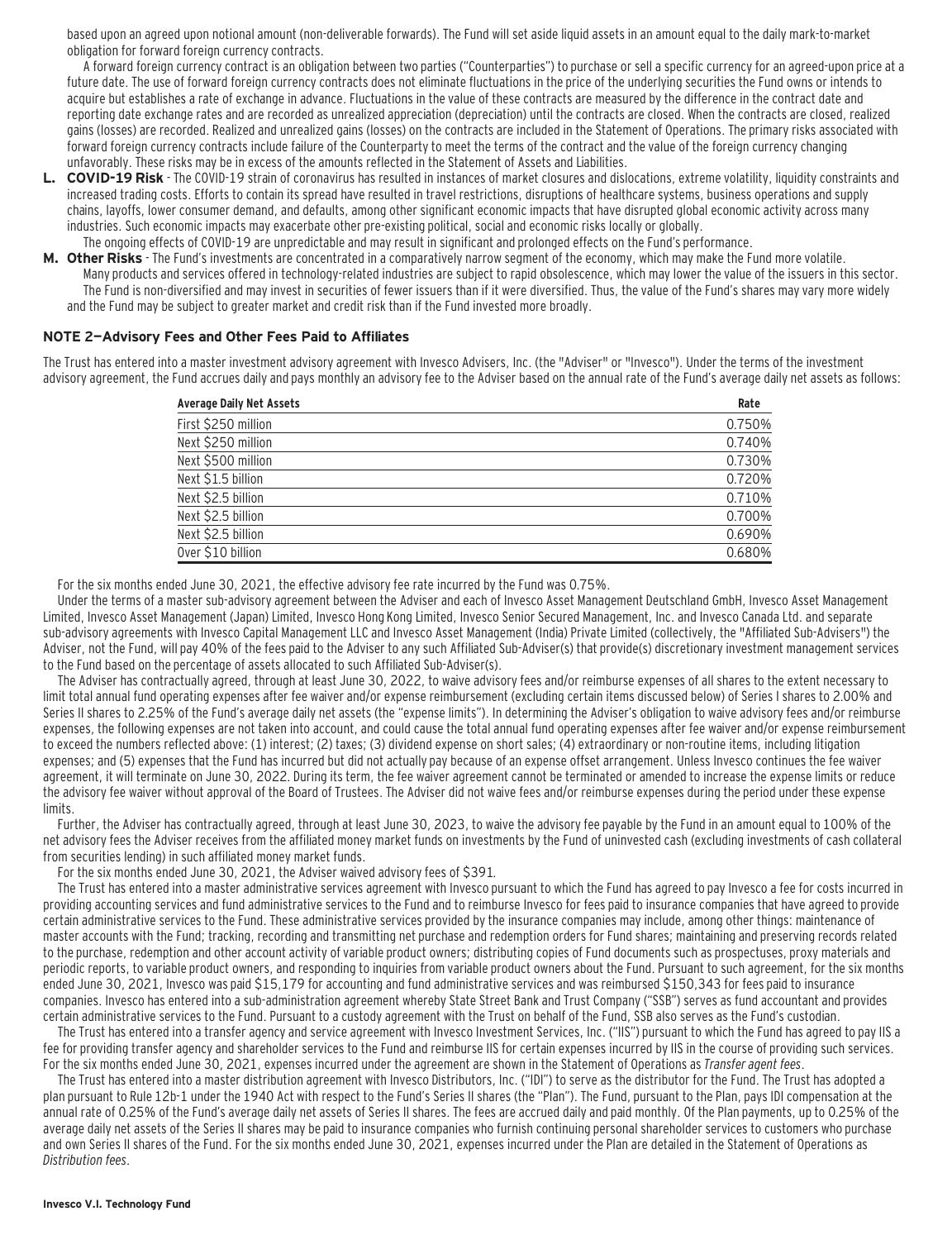based upon an agreed upon notional amount (non-deliverable forwards). The Fund will set aside liquid assets in an amount equal to the daily mark-to-market obligation for forward foreign currency contracts.

A forward foreign currency contract is an obligation between two parties ("Counterparties") to purchase or sell a specific currency for an agreed-upon price at a future date. The use of forward foreign currency contracts does not eliminate fluctuations in the price of the underlying securities the Fund owns or intends to acquire but establishes a rate of exchange in advance. Fluctuations in the value of these contracts are measured by the difference in the contract date and reporting date exchange rates and are recorded as unrealized appreciation (depreciation) until the contracts are closed. When the contracts are closed, realized gains (losses) are recorded. Realized and unrealized gains (losses) on the contracts are included in the Statement of Operations. The primary risks associated with forward foreign currency contracts include failure of the Counterparty to meet the terms of the contract and the value of the foreign currency changing unfavorably. These risks may be in excess of the amounts reflected in the Statement of Assets and Liabilities.

- **L. COVID-19 Risk**  The COVID-19 strain of coronavirus has resulted in instances of market closures and dislocations, extreme volatility, liquidity constraints and increased trading costs. Efforts to contain its spread have resulted in travel restrictions, disruptions of healthcare systems, business operations and supply chains, layoffs, lower consumer demand, and defaults, among other significant economic impacts that have disrupted global economic activity across many industries. Such economic impacts may exacerbate other pre-existing political, social and economic risks locally or globally. The ongoing effects of COVID-19 are unpredictable and may result in significant and prolonged effects on the Fund's performance.
- **M. Other Risks**  The Fund's investments are concentrated in a comparatively narrow segment of the economy, which may make the Fund more volatile. Many products and services offered in technology-related industries are subject to rapid obsolescence, which may lower the value of the issuers in this sector. The Fund is non-diversified and may invest in securities of fewer issuers than if it were diversified. Thus, the value of the Fund's shares may vary more widely and the Fund may be subject to greater market and credit risk than if the Fund invested more broadly.

#### **NOTE 2—Advisory Fees and Other Fees Paid to Affiliates**

The Trust has entered into a master investment advisory agreement with Invesco Advisers, Inc. (the "Adviser" or "Invesco"). Under the terms of the investment advisory agreement, the Fund accrues daily and pays monthly an advisory fee to the Adviser based on the annual rate of the Fund's average daily net assets as follows:

| <b>Average Daily Net Assets</b> | Rate   |
|---------------------------------|--------|
| First \$250 million             | 0.750% |
| Next \$250 million              | 0.740% |
| Next \$500 million              | 0.730% |
| Next \$1.5 billion              | 0.720% |
| Next \$2.5 billion              | 0.710% |
| Next \$2.5 billion              | 0.700% |
| Next \$2.5 billion              | 0.690% |
| Over \$10 billion               | 0.680% |

For the six months ended June 30, 2021, the effective advisory fee rate incurred by the Fund was 0.75%.

Under the terms of a master sub-advisory agreement between the Adviser and each of Invesco Asset Management Deutschland GmbH, Invesco Asset Management Limited, Invesco Asset Management (Japan) Limited, Invesco Hong Kong Limited, Invesco Senior Secured Management, Inc. and Invesco Canada Ltd. and separate sub-advisory agreements with Invesco Capital Management LLC and Invesco Asset Management (India) Private Limited (collectively, the "Affiliated Sub-Advisers") the Adviser, not the Fund, will pay 40% of the fees paid to the Adviser to any such Affiliated Sub-Adviser(s) that provide(s) discretionary investment management services to the Fund based on the percentage of assets allocated to such Affiliated Sub-Adviser(s).

The Adviser has contractually agreed, through at least June 30, 2022, to waive advisory fees and/or reimburse expenses of all shares to the extent necessary to limit total annual fund operating expenses after fee waiver and/or expense reimbursement (excluding certain items discussed below) of Series I shares to 2.00% and Series II shares to 2.25% of the Fund's average daily net assets (the "expense limits"). In determining the Adviser's obligation to waive advisory fees and/or reimburse expenses, the following expenses are not taken into account, and could cause the total annual fund operating expenses after fee waiver and/or expense reimbursement to exceed the numbers reflected above: (1) interest; (2) taxes; (3) dividend expense on short sales; (4) extraordinary or non-routine items, including litigation expenses; and (5) expenses that the Fund has incurred but did not actually pay because of an expense offset arrangement. Unless Invesco continues the fee waiver agreement, it will terminate on June 30, 2022. During its term, the fee waiver agreement cannot be terminated or amended to increase the expense limits or reduce the advisory fee waiver without approval of the Board of Trustees. The Adviser did not waive fees and/or reimburse expenses during the period under these expense limits.

Further, the Adviser has contractually agreed, through at least June 30, 2023, to waive the advisory fee payable by the Fund in an amount equal to 100% of the net advisory fees the Adviser receives from the affiliated money market funds on investments by the Fund of uninvested cash (excluding investments of cash collateral from securities lending) in such affiliated money market funds.

For the six months ended June 30, 2021, the Adviser waived advisory fees of \$391.

The Trust has entered into a master administrative services agreement with Invesco pursuant to which the Fund has agreed to pay Invesco a fee for costs incurred in providing accounting services and fund administrative services to the Fund and to reimburse Invesco for fees paid to insurance companies that have agreed to provide certain administrative services to the Fund. These administrative services provided by the insurance companies may include, among other things: maintenance of master accounts with the Fund; tracking, recording and transmitting net purchase and redemption orders for Fund shares; maintaining and preserving records related to the purchase, redemption and other account activity of variable product owners; distributing copies of Fund documents such as prospectuses, proxy materials and periodic reports, to variable product owners, and responding to inquiries from variable product owners about the Fund. Pursuant to such agreement, for the six months ended June 30, 2021, Invesco was paid \$15,179 for accounting and fund administrative services and was reimbursed \$150,343 for fees paid to insurance companies. Invesco has entered into a sub-administration agreement whereby State Street Bank and Trust Company ("SSB") serves as fund accountant and provides certain administrative services to the Fund. Pursuant to a custody agreement with the Trust on behalf of the Fund, SSB also serves as the Fund's custodian.

The Trust has entered into a transfer agency and service agreement with Invesco Investment Services, Inc. ("IIS") pursuant to which the Fund has agreed to pay IIS a fee for providing transfer agency and shareholder services to the Fund and reimburse IIS for certain expenses incurred by IIS in the course of providing such services. For the six months ended June 30, 2021, expenses incurred under the agreement are shown in the Statement of Operations as Transfer agent fees.

The Trust has entered into a master distribution agreement with Invesco Distributors, Inc. ("IDI") to serve as the distributor for the Fund. The Trust has adopted a plan pursuant to Rule 12b-1 under the 1940 Act with respect to the Fund's Series II shares (the "Plan"). The Fund, pursuant to the Plan, pays IDI compensation at the annual rate of 0.25% of the Fund's average daily net assets of Series II shares. The fees are accrued daily and paid monthly. Of the Plan payments, up to 0.25% of the average daily net assets of the Series II shares may be paid to insurance companies who furnish continuing personal shareholder services to customers who purchase and own Series II shares of the Fund. For the six months ended June 30, 2021, expenses incurred under the Plan are detailed in the Statement of Operations as Distribution fees.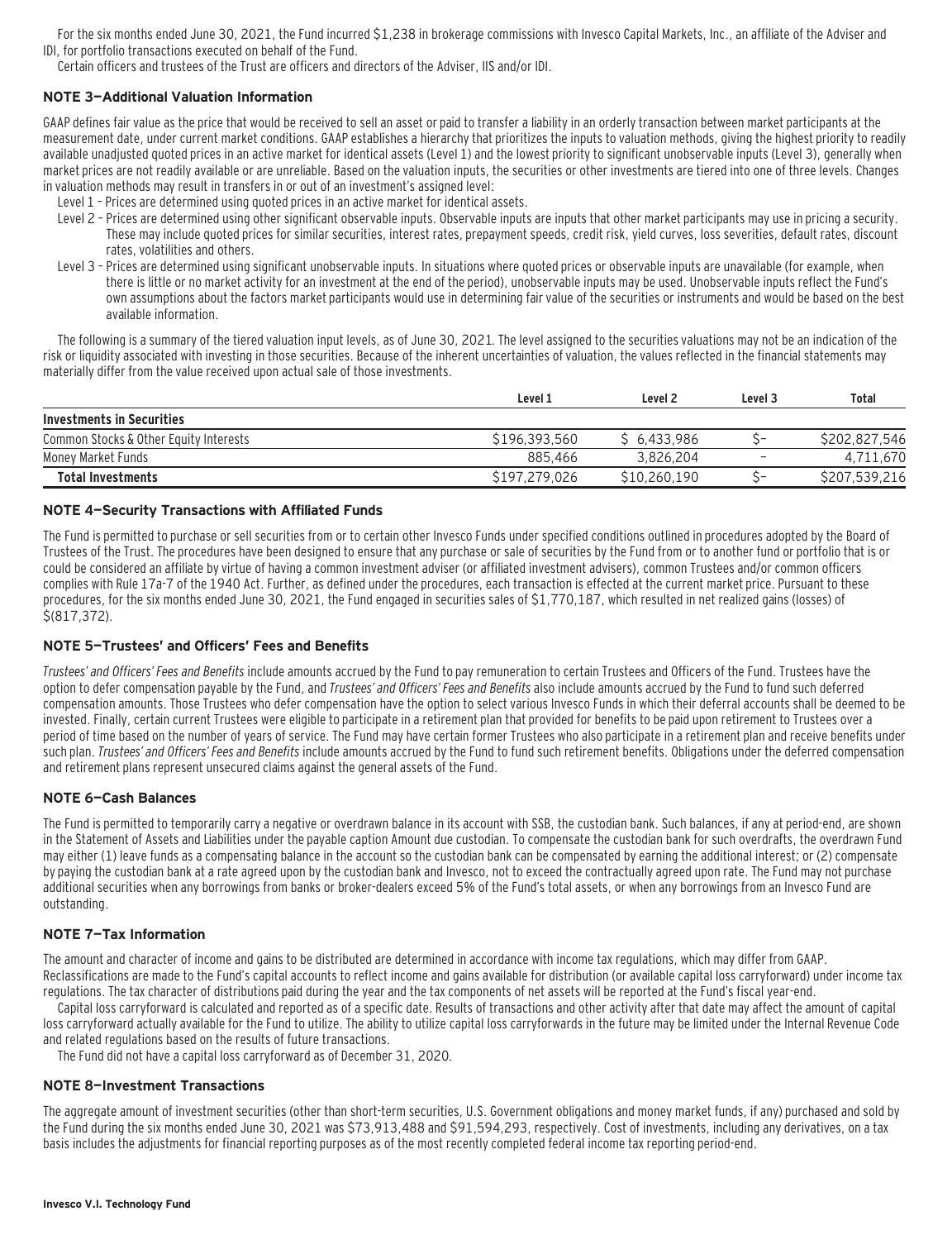For the six months ended June 30, 2021, the Fund incurred \$1,238 in brokerage commissions with Invesco Capital Markets, Inc., an affiliate of the Adviser and IDI, for portfolio transactions executed on behalf of the Fund.

Certain officers and trustees of the Trust are officers and directors of the Adviser, IIS and/or IDI.

#### **NOTE 3—Additional Valuation Information**

GAAP defines fair value as the price that would be received to sell an asset or paid to transfer a liability in an orderly transaction between market participants at the measurement date, under current market conditions. GAAP establishes a hierarchy that prioritizes the inputs to valuation methods, giving the highest priority to readily available unadjusted quoted prices in an active market for identical assets (Level 1) and the lowest priority to significant unobservable inputs (Level 3), generally when market prices are not readily available or are unreliable. Based on the valuation inputs, the securities or other investments are tiered into one of three levels. Changes in valuation methods may result in transfers in or out of an investment's assigned level:

- Level 1 Prices are determined using quoted prices in an active market for identical assets.
- Level 2 Prices are determined using other significant observable inputs. Observable inputs that other market participants may use in pricing a security. These may include quoted prices for similar securities, interest rates, prepayment speeds, credit risk, yield curves, loss severities, default rates, discount rates, volatilities and others.
- Level 3 Prices are determined using significant unobservable inputs. In situations where quoted prices or observable inputs are unavailable (for example, when there is little or no market activity for an investment at the end of the period), unobservable inputs may be used. Unobservable inputs reflect the Fund's own assumptions about the factors market participants would use in determining fair value of the securities or instruments and would be based on the best available information.

The following is a summary of the tiered valuation input levels, as of June 30, 2021. The level assigned to the securities valuations may not be an indication of the risk or liquidity associated with investing in those securities. Because of the inherent uncertainties of valuation, the values reflected in the financial statements may materially differ from the value received upon actual sale of those investments.

|                                        | Level 1       | Level 2      | Level 3      | Total         |
|----------------------------------------|---------------|--------------|--------------|---------------|
| Investments in Securities              |               |              |              |               |
| Common Stocks & Other Equity Interests | \$196,393,560 | \$6.433.986  | ~-           | S202.827.546  |
| Money Market Funds                     | 885.466       | 3.826.204    |              | 4,711,670     |
| <b>Total Investments</b>               | \$197,279,026 | \$10,260,190 | $\checkmark$ | \$207,539,216 |

#### **NOTE 4—Security Transactions with Affiliated Funds**

The Fund is permitted to purchase or sell securities from or to certain other Invesco Funds under specified conditions outlined in procedures adopted by the Board of Trustees of the Trust. The procedures have been designed to ensure that any purchase or sale of securities by the Fund from or to another fund or portfolio that is or could be considered an affiliate by virtue of having a common investment adviser (or affiliated investment advisers), common Trustees and/or common officers complies with Rule 17a-7 of the 1940 Act. Further, as defined under the procedures, each transaction is effected at the current market price. Pursuant to these procedures, for the six months ended June 30, 2021, the Fund engaged in securities sales of \$1,770,187, which resulted in net realized gains (losses) of \$(817,372).

#### **NOTE 5—Trustees' and Officers' Fees and Benefits**

Trustees' and Officers' Fees and Benefits include amounts accrued by the Fund to pay remuneration to certain Trustees and Officers of the Fund. Trustees have the option to defer compensation payable by the Fund, and Trustees' and Officers' Fees and Benefits also include amounts accrued by the Fund to fund such deferred compensation amounts. Those Trustees who defer compensation have the option to select various Invesco Funds in which their deferral accounts shall be deemed to be invested. Finally, certain current Trustees were eligible to participate in a retirement plan that provided for benefits to be paid upon retirement to Trustees over a period of time based on the number of years of service. The Fund may have certain former Trustees who also participate in a retirement plan and receive benefits under such plan. Trustees' and Officers' Fees and Benefits include amounts accrued by the Fund to fund such retirement benefits. Obligations under the deferred compensation and retirement plans represent unsecured claims against the general assets of the Fund.

#### **NOTE 6—Cash Balances**

The Fund is permitted to temporarily carry a negative or overdrawn balance in its account with SSB, the custodian bank. Such balances, if any at period-end, are shown in the Statement of Assets and Liabilities under the payable caption Amount due custodian. To compensate the custodian bank for such overdrafts, the overdrawn Fund may either (1) leave funds as a compensating balance in the account so the custodian bank can be compensated by earning the additional interest; or (2) compensate by paying the custodian bank at a rate agreed upon by the custodian bank and Invesco, not to exceed the contractually agreed upon rate. The Fund may not purchase additional securities when any borrowings from banks or broker-dealers exceed 5% of the Fund's total assets, or when any borrowings from an Invesco Fund are outstanding.

#### **NOTE 7—Tax Information**

The amount and character of income and gains to be distributed are determined in accordance with income tax regulations, which may differ from GAAP. Reclassifications are made to the Fund's capital accounts to reflect income and gains available for distribution (or available capital loss carryforward) under income tax regulations. The tax character of distributions paid during the year and the tax components of net assets will be reported at the Fund's fiscal year-end.

Capital loss carryforward is calculated and reported as of a specific date. Results of transactions and other activity after that date may affect the amount of capital loss carryforward actually available for the Fund to utilize. The ability to utilize capital loss carryforwards in the future may be limited under the Internal Revenue Code and related regulations based on the results of future transactions.

The Fund did not have a capital loss carryforward as of December 31, 2020.

#### **NOTE 8—Investment Transactions**

The aggregate amount of investment securities (other than short-term securities, U.S. Government obligations and money market funds, if any) purchased and sold by the Fund during the six months ended June 30, 2021 was \$73,913,488 and \$91,594,293, respectively. Cost of investments, including any derivatives, on a tax basis includes the adjustments for financial reporting purposes as of the most recently completed federal income tax reporting period-end.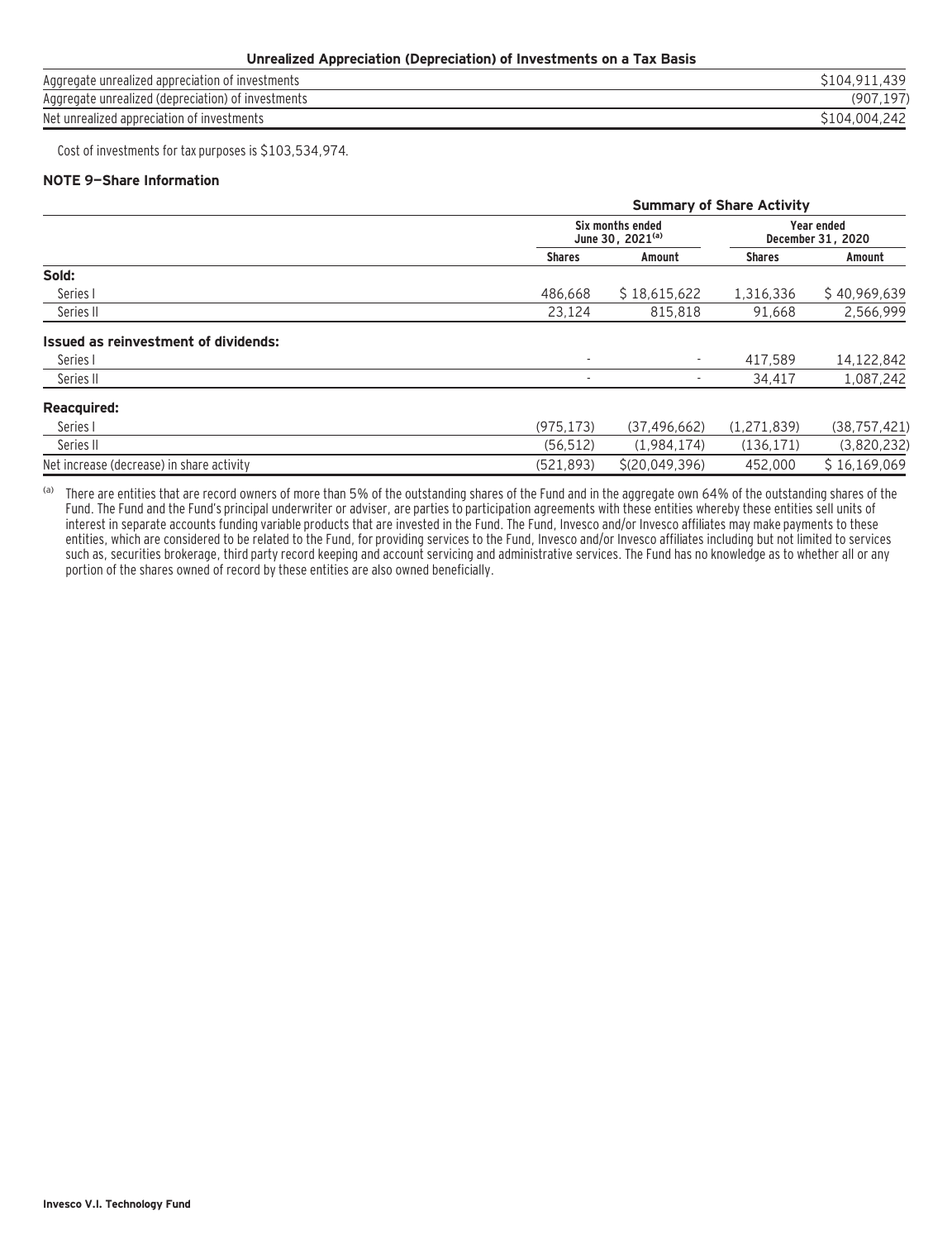#### **Unrealized Appreciation (Depreciation) of Investments on a Tax Basis**

| Aggregate unrealized appreciation of investments   | \$104.911.439 |
|----------------------------------------------------|---------------|
| Aggregate unrealized (depreciation) of investments | 197<br>(907)  |
| Net unrealized appreciation of investments         | S104.004.242  |
|                                                    |               |

Cost of investments for tax purposes is \$103,534,974.

#### **NOTE 9—Share Information**

|                                           |                          | <b>Summary of Share Activity</b>          |               |                                        |  |
|-------------------------------------------|--------------------------|-------------------------------------------|---------------|----------------------------------------|--|
|                                           |                          | Six months ended<br>June 30, $2021^{(a)}$ |               | <b>Year ended</b><br>December 31, 2020 |  |
|                                           | <b>Shares</b>            | Amount                                    | <b>Shares</b> | Amount                                 |  |
| Sold:                                     |                          |                                           |               |                                        |  |
| Series I                                  | 486.668                  | \$18.615.622                              | 1,316,336     | \$40,969,639                           |  |
| Series II                                 | 23,124                   | 815,818                                   | 91,668        | 2,566,999                              |  |
| Issued as reinvestment of dividends:      |                          |                                           |               |                                        |  |
| Series I                                  | $\overline{\phantom{a}}$ | $\overline{\phantom{a}}$                  | 417.589       | 14,122,842                             |  |
| Series II                                 | ٠                        |                                           | 34,417        | 1,087,242                              |  |
| <b>Reacquired:</b>                        |                          |                                           |               |                                        |  |
| Series I                                  | (975.173)                | (37, 496, 662)                            | (1,271,839)   | (38, 757, 421)                         |  |
| Series II                                 | (56, 512)                | (1,984,174)                               | (136, 171)    | (3,820,232)                            |  |
| Net increase (decrease) in share activity | (521, 893)               | \$(20.049.396)                            | 452.000       | \$16,169,069                           |  |

(a) There are entities that are record owners of more than 5% of the outstanding shares of the Fund and in the aggregate own 64% of the outstanding shares of the Fund. The Fund and the Fund's principal underwriter or adviser, are parties to participation agreements with these entities whereby these entities sell units of interest in separate accounts funding variable products that are invested in the Fund. The Fund, Invesco and/or Invesco affiliates may make payments to these entities, which are considered to be related to the Fund, for providing services to the Fund, Invesco and/or Invesco affiliates including but not limited to services such as, securities brokerage, third party record keeping and account servicing and administrative services. The Fund has no knowledge as to whether all or any portion of the shares owned of record by these entities are also owned beneficially.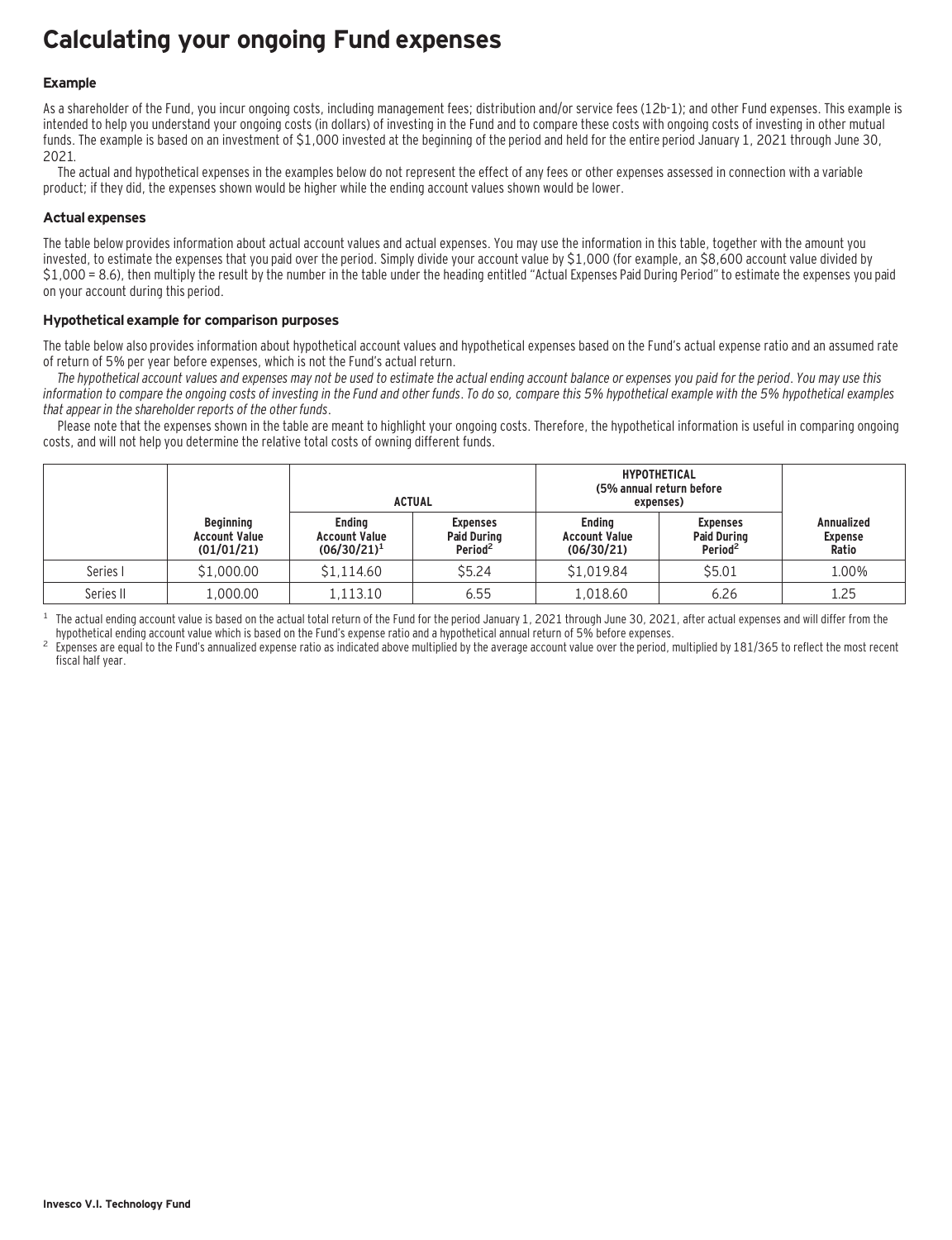### **Calculating your ongoing Fund expenses**

#### **Example**

As a shareholder of the Fund, you incur ongoing costs, including management fees; distribution and/or service fees (12b-1); and other Fund expenses. This example is intended to help you understand your ongoing costs (in dollars) of investing in the Fund and to compare these costs with ongoing costs of investing in other mutual funds. The example is based on an investment of \$1,000 invested at the beginning of the period and held for the entire period January 1, 2021 through June 30, 2021.

The actual and hypothetical expenses in the examples below do not represent the effect of any fees or other expenses assessed in connection with a variable product; if they did, the expenses shown would be higher while the ending account values shown would be lower.

#### **Actual expenses**

The table below provides information about actual account values and actual expenses. You may use the information in this table, together with the amount you invested, to estimate the expenses that you paid over the period. Simply divide your account value by \$1,000 (for example, an \$8,600 account value divided by \$1,000 = 8.6), then multiply the result by the number in the table under the heading entitled "Actual Expenses Paid During Period" to estimate the expenses you paid on your account during this period.

#### **Hypothetical example for comparison purposes**

The table below also provides information about hypothetical account values and hypothetical expenses based on the Fund's actual expense ratio and an assumed rate of return of 5% per year before expenses, which is not the Fund's actual return.

The hypothetical account values and expenses may not be used to estimate the actual ending account balance or expenses you paid for the period. You may use this information to compare the ongoing costs of investing in the Fund and other funds. To do so, compare this 5% hypothetical example with the 5% hypothetical examples that appear in the shareholder reports of the other funds.

Please note that the expenses shown in the table are meant to highlight your ongoing costs. Therefore, the hypothetical information is useful in comparing ongoing costs, and will not help you determine the relative total costs of owning different funds.

|           |                                                        |                                                         | <b>ACTUAL</b>                                                | <b>HYPOTHETICAL</b><br>(5% annual return before<br>expenses) |                                                              |                                              |
|-----------|--------------------------------------------------------|---------------------------------------------------------|--------------------------------------------------------------|--------------------------------------------------------------|--------------------------------------------------------------|----------------------------------------------|
|           | <b>Beginning</b><br><b>Account Value</b><br>(01/01/21) | <b>Endina</b><br><b>Account Value</b><br>$(06/30/21)^1$ | <b>Expenses</b><br><b>Paid During</b><br>Period <sup>2</sup> | <b>Endina</b><br><b>Account Value</b><br>(06/30/21)          | <b>Expenses</b><br><b>Paid During</b><br>Period <sup>2</sup> | <b>Annualized</b><br><b>Expense</b><br>Ratio |
| Series I  | \$1,000.00                                             | \$1.114.60                                              | \$5.24                                                       | \$1.019.84                                                   | \$5.01                                                       | 1.00%                                        |
| Series II | 1,000.00                                               | 1.113.10                                                | 6.55                                                         | 1,018.60                                                     | 6.26                                                         | 1.25                                         |

<sup>1</sup> The actual ending account value is based on the actual total return of the Fund for the period January 1, 2021 through June 30, 2021, after actual expenses and will differ from the hund's expense ratio and a hypothetic

Expenses are equal to the Fund's annualized expense ratio as indicated above multiplied by the average account value over the period, multiplied by 181/365 to reflect the most recent fiscal half year.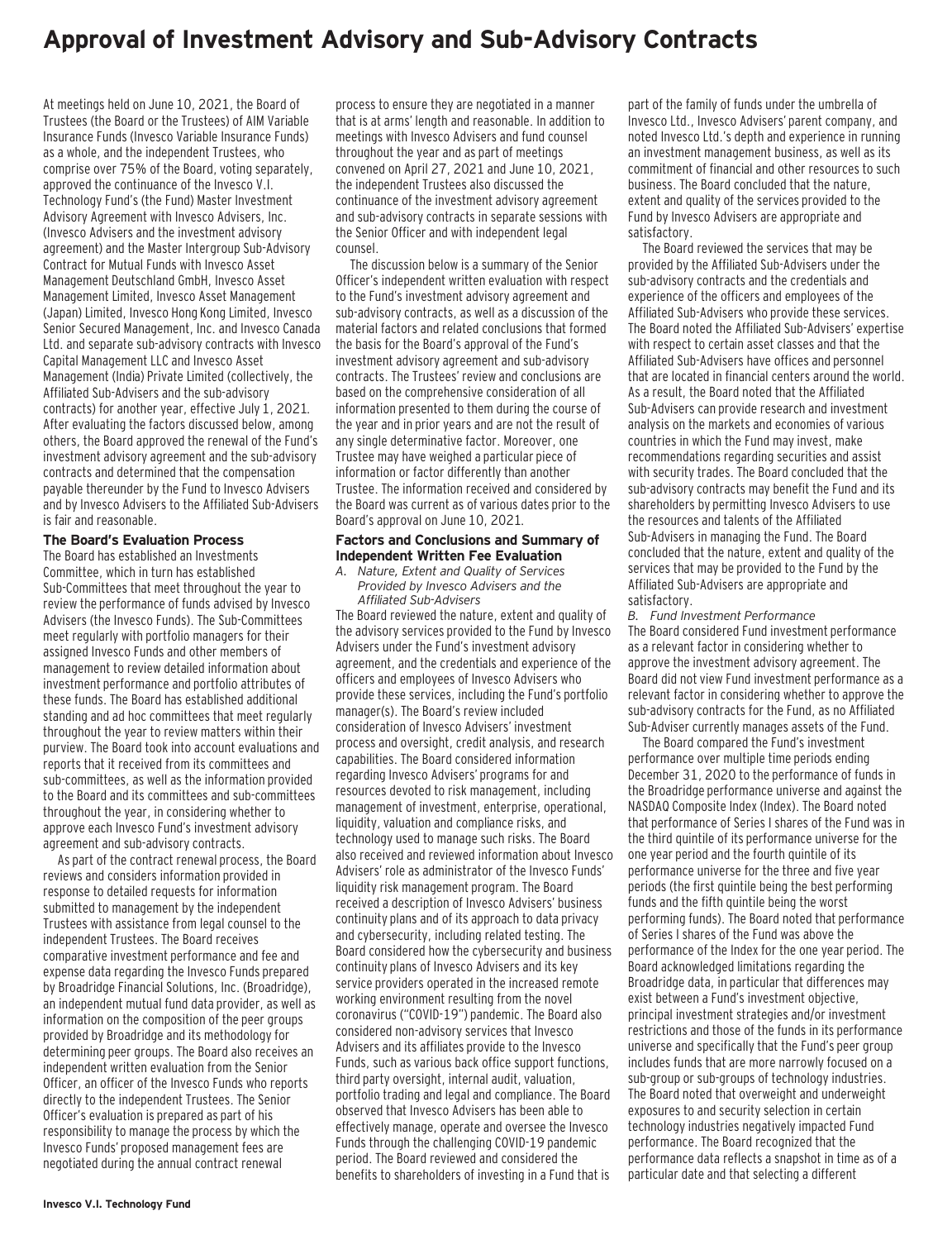### **Approval of Investment Advisory and Sub-Advisory Contracts**

At meetings held on June 10, 2021, the Board of Trustees (the Board or the Trustees) of AIM Variable Insurance Funds (Invesco Variable Insurance Funds) as a whole, and the independent Trustees, who comprise over 75% of the Board, voting separately, approved the continuance of the Invesco V.I. Technology Fund's (the Fund) Master Investment Advisory Agreement with Invesco Advisers, Inc. (Invesco Advisers and the investment advisory agreement) and the Master Intergroup Sub-Advisory Contract for Mutual Funds with Invesco Asset Management Deutschland GmbH, Invesco Asset Management Limited, Invesco Asset Management (Japan) Limited, Invesco Hong Kong Limited, Invesco Senior Secured Management, Inc. and Invesco Canada Ltd. and separate sub-advisory contracts with Invesco Capital Management LLC and Invesco Asset Management (India) Private Limited (collectively, the Affiliated Sub-Advisers and the sub-advisory contracts) for another year, effective July 1, 2021. After evaluating the factors discussed below, among others, the Board approved the renewal of the Fund's investment advisory agreement and the sub-advisory contracts and determined that the compensation payable thereunder by the Fund to Invesco Advisers and by Invesco Advisers to the Affiliated Sub-Advisers is fair and reasonable.

#### **The Board's Evaluation Process**

The Board has established an Investments Committee, which in turn has established Sub-Committees that meet throughout the year to review the performance of funds advised by Invesco Advisers (the Invesco Funds). The Sub-Committees meet regularly with portfolio managers for their assigned Invesco Funds and other members of management to review detailed information about investment performance and portfolio attributes of these funds. The Board has established additional standing and ad hoc committees that meet regularly throughout the year to review matters within their purview. The Board took into account evaluations and reports that it received from its committees and sub-committees, as well as the information provided to the Board and its committees and sub-committees throughout the year, in considering whether to approve each Invesco Fund's investment advisory agreement and sub-advisory contracts.

As part of the contract renewal process, the Board reviews and considers information provided in response to detailed requests for information submitted to management by the independent Trustees with assistance from legal counsel to the independent Trustees. The Board receives comparative investment performance and fee and expense data regarding the Invesco Funds prepared by Broadridge Financial Solutions, Inc. (Broadridge), an independent mutual fund data provider, as well as information on the composition of the peer groups provided by Broadridge and its methodology for determining peer groups. The Board also receives an independent written evaluation from the Senior Officer, an officer of the Invesco Funds who reports directly to the independent Trustees. The Senior Officer's evaluation is prepared as part of his responsibility to manage the process by which the Invesco Funds' proposed management fees are negotiated during the annual contract renewal

process to ensure they are negotiated in a manner that is at arms' length and reasonable. In addition to meetings with Invesco Advisers and fund counsel throughout the year and as part of meetings convened on April 27, 2021 and June 10, 2021, the independent Trustees also discussed the continuance of the investment advisory agreement and sub-advisory contracts in separate sessions with the Senior Officer and with independent legal counsel.

The discussion below is a summary of the Senior Officer's independent written evaluation with respect to the Fund's investment advisory agreement and sub-advisory contracts, as well as a discussion of the material factors and related conclusions that formed the basis for the Board's approval of the Fund's investment advisory agreement and sub-advisory contracts. The Trustees' review and conclusions are based on the comprehensive consideration of all information presented to them during the course of the year and in prior years and are not the result of any single determinative factor. Moreover, one Trustee may have weighed a particular piece of information or factor differently than another Trustee. The information received and considered by the Board was current as of various dates prior to the Board's approval on June 10, 2021.

#### **Factors and Conclusions and Summary of Independent Written Fee Evaluation**

*A. Nature, Extent and Quality of Services Provided by Invesco Advisers and the Affiliated Sub-Advisers*

The Board reviewed the nature, extent and quality of the advisory services provided to the Fund by Invesco Advisers under the Fund's investment advisory agreement, and the credentials and experience of the officers and employees of Invesco Advisers who provide these services, including the Fund's portfolio manager(s). The Board's review included consideration of Invesco Advisers' investment process and oversight, credit analysis, and research capabilities. The Board considered information regarding Invesco Advisers' programs for and resources devoted to risk management, including management of investment, enterprise, operational, liquidity, valuation and compliance risks, and technology used to manage such risks. The Board also received and reviewed information about Invesco Advisers' role as administrator of the Invesco Funds' liquidity risk management program. The Board received a description of Invesco Advisers' business continuity plans and of its approach to data privacy and cybersecurity, including related testing. The Board considered how the cybersecurity and business continuity plans of Invesco Advisers and its key service providers operated in the increased remote working environment resulting from the novel coronavirus ("COVID-19") pandemic. The Board also considered non-advisory services that Invesco Advisers and its affiliates provide to the Invesco Funds, such as various back office support functions, third party oversight, internal audit, valuation, portfolio trading and legal and compliance. The Board observed that Invesco Advisers has been able to effectively manage, operate and oversee the Invesco Funds through the challenging COVID-19 pandemic period. The Board reviewed and considered the benefits to shareholders of investing in a Fund that is

part of the family of funds under the umbrella of Invesco Ltd., Invesco Advisers' parent company, and noted Invesco Ltd.'s depth and experience in running an investment management business, as well as its commitment of financial and other resources to such business. The Board concluded that the nature, extent and quality of the services provided to the Fund by Invesco Advisers are appropriate and satisfactory.

The Board reviewed the services that may be provided by the Affiliated Sub-Advisers under the sub-advisory contracts and the credentials and experience of the officers and employees of the Affiliated Sub-Advisers who provide these services. The Board noted the Affiliated Sub-Advisers' expertise with respect to certain asset classes and that the Affiliated Sub-Advisers have offices and personnel that are located in financial centers around the world. As a result, the Board noted that the Affiliated Sub-Advisers can provide research and investment analysis on the markets and economies of various countries in which the Fund may invest, make recommendations regarding securities and assist with security trades. The Board concluded that the sub-advisory contracts may benefit the Fund and its shareholders by permitting Invesco Advisers to use the resources and talents of the Affiliated Sub-Advisers in managing the Fund. The Board concluded that the nature, extent and quality of the services that may be provided to the Fund by the Affiliated Sub-Advisers are appropriate and satisfactory.

*B. Fund Investment Performance* The Board considered Fund investment performance as a relevant factor in considering whether to approve the investment advisory agreement. The Board did not view Fund investment performance as a relevant factor in considering whether to approve the sub-advisory contracts for the Fund, as no Affiliated Sub-Adviser currently manages assets of the Fund.

The Board compared the Fund's investment performance over multiple time periods ending December 31, 2020 to the performance of funds in the Broadridge performance universe and against the NASDAQ Composite Index (Index). The Board noted that performance of Series I shares of the Fund was in the third quintile of its performance universe for the one year period and the fourth quintile of its performance universe for the three and five year periods (the first quintile being the best performing funds and the fifth quintile being the worst performing funds). The Board noted that performance of Series I shares of the Fund was above the performance of the Index for the one year period. The Board acknowledged limitations regarding the Broadridge data, in particular that differences may exist between a Fund's investment objective, principal investment strategies and/or investment restrictions and those of the funds in its performance universe and specifically that the Fund's peer group includes funds that are more narrowly focused on a sub-group or sub-groups of technology industries. The Board noted that overweight and underweight exposures to and security selection in certain technology industries negatively impacted Fund performance. The Board recognized that the performance data reflects a snapshot in time as of a particular date and that selecting a different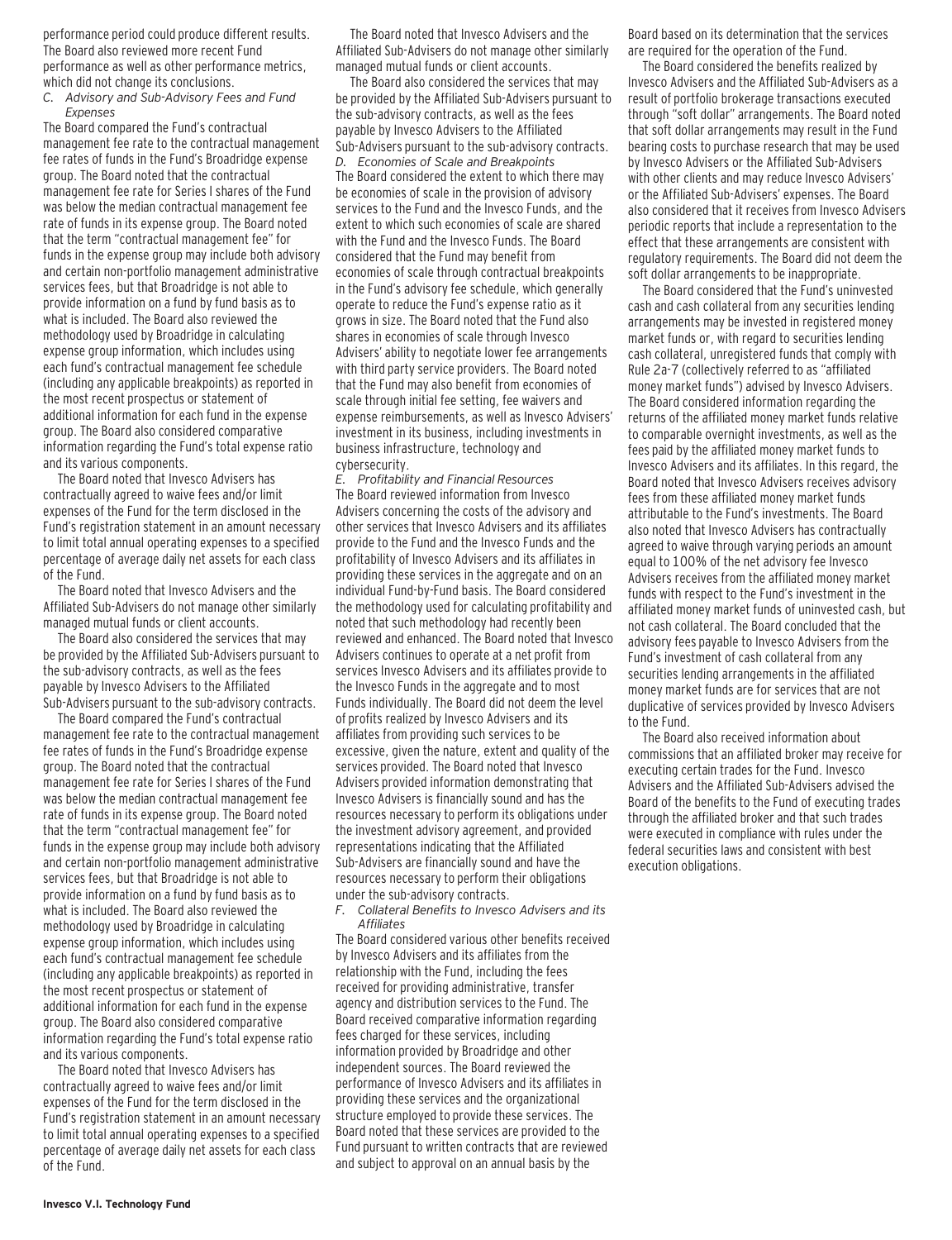performance period could produce different results. The Board also reviewed more recent Fund performance as well as other performance metrics, which did not change its conclusions.

*C. Advisory and Sub-Advisory Fees and Fund Expenses*

The Board compared the Fund's contractual management fee rate to the contractual management fee rates of funds in the Fund's Broadridge expense group. The Board noted that the contractual management fee rate for Series I shares of the Fund was below the median contractual management fee rate of funds in its expense group. The Board noted that the term "contractual management fee" for funds in the expense group may include both advisory and certain non-portfolio management administrative services fees, but that Broadridge is not able to provide information on a fund by fund basis as to what is included. The Board also reviewed the methodology used by Broadridge in calculating expense group information, which includes using each fund's contractual management fee schedule (including any applicable breakpoints) as reported in the most recent prospectus or statement of additional information for each fund in the expense group. The Board also considered comparative information regarding the Fund's total expense ratio and its various components.

The Board noted that Invesco Advisers has contractually agreed to waive fees and/or limit expenses of the Fund for the term disclosed in the Fund's registration statement in an amount necessary to limit total annual operating expenses to a specified percentage of average daily net assets for each class of the Fund.

The Board noted that Invesco Advisers and the Affiliated Sub-Advisers do not manage other similarly managed mutual funds or client accounts.

The Board also considered the services that may be provided by the Affiliated Sub-Advisers pursuant to the sub-advisory contracts, as well as the fees payable by Invesco Advisers to the Affiliated Sub-Advisers pursuant to the sub-advisory contracts.

The Board compared the Fund's contractual management fee rate to the contractual management fee rates of funds in the Fund's Broadridge expense group. The Board noted that the contractual management fee rate for Series I shares of the Fund was below the median contractual management fee rate of funds in its expense group. The Board noted that the term "contractual management fee" for funds in the expense group may include both advisory and certain non-portfolio management administrative services fees, but that Broadridge is not able to provide information on a fund by fund basis as to what is included. The Board also reviewed the methodology used by Broadridge in calculating expense group information, which includes using each fund's contractual management fee schedule (including any applicable breakpoints) as reported in the most recent prospectus or statement of additional information for each fund in the expense group. The Board also considered comparative information regarding the Fund's total expense ratio and its various components.

The Board noted that Invesco Advisers has contractually agreed to waive fees and/or limit expenses of the Fund for the term disclosed in the Fund's registration statement in an amount necessary to limit total annual operating expenses to a specified percentage of average daily net assets for each class of the Fund.

The Board noted that Invesco Advisers and the Affiliated Sub-Advisers do not manage other similarly managed mutual funds or client accounts.

The Board also considered the services that may be provided by the Affiliated Sub-Advisers pursuant to the sub-advisory contracts, as well as the fees payable by Invesco Advisers to the Affiliated Sub-Advisers pursuant to the sub-advisory contracts. *D. Economies of Scale and Breakpoints* The Board considered the extent to which there may be economies of scale in the provision of advisory services to the Fund and the Invesco Funds, and the extent to which such economies of scale are shared with the Fund and the Invesco Funds. The Board considered that the Fund may benefit from economies of scale through contractual breakpoints in the Fund's advisory fee schedule, which generally operate to reduce the Fund's expense ratio as it grows in size. The Board noted that the Fund also shares in economies of scale through Invesco Advisers' ability to negotiate lower fee arrangements with third party service providers. The Board noted that the Fund may also benefit from economies of scale through initial fee setting, fee waivers and expense reimbursements, as well as Invesco Advisers' investment in its business, including investments in business infrastructure, technology and cybersecurity.

*E. Profitability and Financial Resources* The Board reviewed information from Invesco Advisers concerning the costs of the advisory and other services that Invesco Advisers and its affiliates provide to the Fund and the Invesco Funds and the profitability of Invesco Advisers and its affiliates in providing these services in the aggregate and on an individual Fund-by-Fund basis. The Board considered the methodology used for calculating profitability and noted that such methodology had recently been reviewed and enhanced. The Board noted that Invesco Advisers continues to operate at a net profit from services Invesco Advisers and its affiliates provide to the Invesco Funds in the aggregate and to most Funds individually. The Board did not deem the level of profits realized by Invesco Advisers and its affiliates from providing such services to be excessive, given the nature, extent and quality of the services provided. The Board noted that Invesco Advisers provided information demonstrating that Invesco Advisers is financially sound and has the resources necessary to perform its obligations under the investment advisory agreement, and provided representations indicating that the Affiliated Sub-Advisers are financially sound and have the resources necessary to perform their obligations under the sub-advisory contracts.

*F. Collateral Benefits to Invesco Advisers and its Affiliates*

The Board considered various other benefits received by Invesco Advisers and its affiliates from the relationship with the Fund, including the fees received for providing administrative, transfer agency and distribution services to the Fund. The Board received comparative information regarding fees charged for these services, including information provided by Broadridge and other independent sources. The Board reviewed the performance of Invesco Advisers and its affiliates in providing these services and the organizational structure employed to provide these services. The Board noted that these services are provided to the Fund pursuant to written contracts that are reviewed and subject to approval on an annual basis by the

Board based on its determination that the services are required for the operation of the Fund.

The Board considered the benefits realized by Invesco Advisers and the Affiliated Sub-Advisers as a result of portfolio brokerage transactions executed through "soft dollar" arrangements. The Board noted that soft dollar arrangements may result in the Fund bearing costs to purchase research that may be used by Invesco Advisers or the Affiliated Sub-Advisers with other clients and may reduce Invesco Advisers' or the Affiliated Sub-Advisers' expenses. The Board also considered that it receives from Invesco Advisers periodic reports that include a representation to the effect that these arrangements are consistent with regulatory requirements. The Board did not deem the soft dollar arrangements to be inappropriate.

The Board considered that the Fund's uninvested cash and cash collateral from any securities lending arrangements may be invested in registered money market funds or, with regard to securities lending cash collateral, unregistered funds that comply with Rule 2a-7 (collectively referred to as "affiliated money market funds") advised by Invesco Advisers. The Board considered information regarding the returns of the affiliated money market funds relative to comparable overnight investments, as well as the fees paid by the affiliated money market funds to Invesco Advisers and its affiliates. In this regard, the Board noted that Invesco Advisers receives advisory fees from these affiliated money market funds attributable to the Fund's investments. The Board also noted that Invesco Advisers has contractually agreed to waive through varying periods an amount equal to 100% of the net advisory fee Invesco Advisers receives from the affiliated money market funds with respect to the Fund's investment in the affiliated money market funds of uninvested cash, but not cash collateral. The Board concluded that the advisory fees payable to Invesco Advisers from the Fund's investment of cash collateral from any securities lending arrangements in the affiliated money market funds are for services that are not duplicative of services provided by Invesco Advisers to the Fund.

The Board also received information about commissions that an affiliated broker may receive for executing certain trades for the Fund. Invesco Advisers and the Affiliated Sub-Advisers advised the Board of the benefits to the Fund of executing trades through the affiliated broker and that such trades were executed in compliance with rules under the federal securities laws and consistent with best execution obligations.